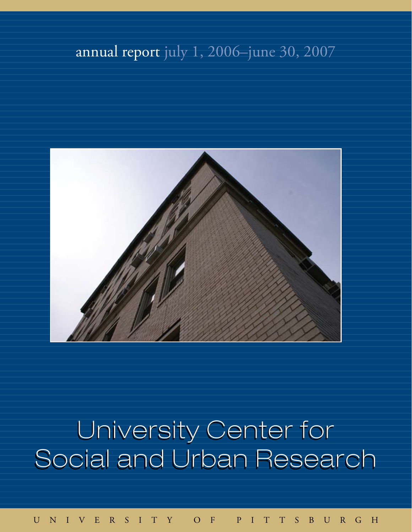## annual report july 1, 2006–june 30, 2007



# University Center for Social and Urban Research

university of pittsburgh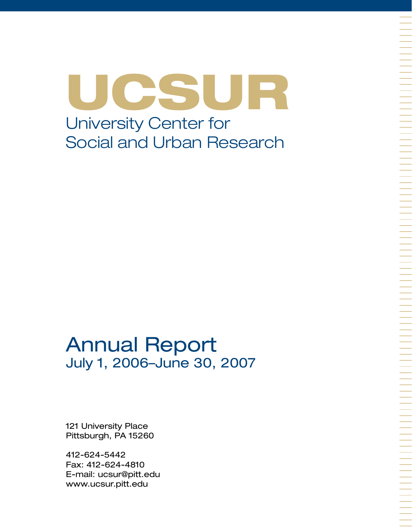UCSUR University Center for Social and Urban Research

## Annual Report July 1, 2006–June 30, 2007

121 University Place Pittsburgh, PA 15260

412-624-5442 Fax: 412-624-4810 E-mail: ucsur@pitt.edu www.ucsur.pitt.edu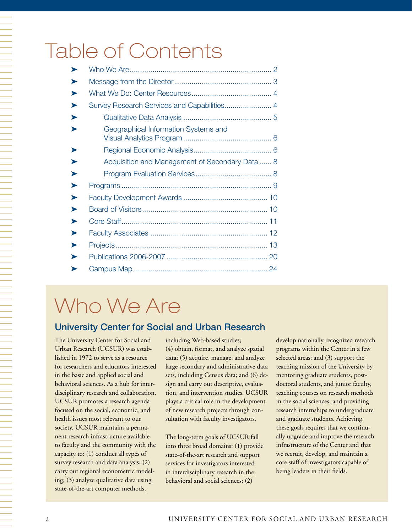# Table of Contents

| ➤ |                                                |  |
|---|------------------------------------------------|--|
| ➤ |                                                |  |
| ➤ |                                                |  |
| ➤ | Survey Research Services and Capabilities 4    |  |
| ➤ |                                                |  |
| ➤ | Geographical Information Systems and           |  |
| ➤ |                                                |  |
| ▶ | Acquisition and Management of Secondary Data 8 |  |
| ▶ |                                                |  |
| ▶ |                                                |  |
| ▶ |                                                |  |
| ▶ |                                                |  |
| ➤ |                                                |  |
| ➤ |                                                |  |
| ➤ |                                                |  |
| ➤ |                                                |  |
|   |                                                |  |

# Who We Are

## University Center for Social and Urban Research

The University Center for Social and Urban Research (UCSUR) was established in 1972 to serve as a resource for researchers and educators interested in the basic and applied social and behavioral sciences. As a hub for interdisciplinary research and collaboration, UCSUR promotes a research agenda focused on the social, economic, and health issues most relevant to our society. UCSUR maintains a permanent research infrastructure available to faculty and the community with the capacity to: (1) conduct all types of survey research and data analysis; (2) carry out regional econometric modeling; (3) analyze qualitative data using state-of-the-art computer methods,

including Web-based studies; (4) obtain, format, and analyze spatial data; (5) acquire, manage, and analyze large secondary and administrative data sets, including Census data; and (6) design and carry out descriptive, evaluation, and intervention studies. UCSUR plays a critical role in the development of new research projects through consultation with faculty investigators.

The long-term goals of UCSUR fall into three broad domains: (1) provide state-of-the-art research and support services for investigators interested in interdisciplinary research in the behavioral and social sciences; (2)

develop nationally recognized research programs within the Center in a few selected areas; and (3) support the teaching mission of the University by mentoring graduate students, postdoctoral students, and junior faculty, teaching courses on research methods in the social sciences, and providing research internships to undergraduate and graduate students. Achieving these goals requires that we continually upgrade and improve the research infrastructure of the Center and that we recruit, develop, and maintain a core staff of investigators capable of being leaders in their fields.

一个人,我们就是一个人,我们就是一个人,我们就是一个人,我们就是一个人,我们就是一个人,我们就是一个人,我们就是一个人,我们就是一个人,我们就是一个人,我们就是一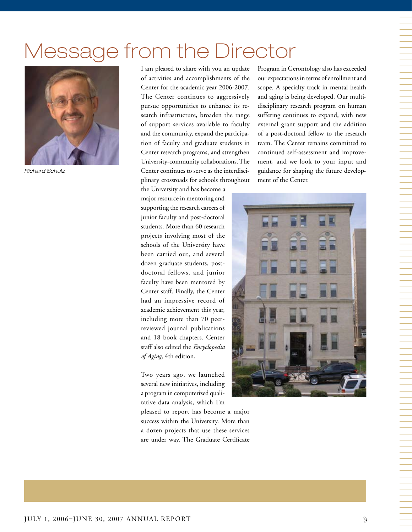# Message from the Director



*Richard Schulz*

I am pleased to share with you an update of activities and accomplishments of the Center for the academic year 2006-2007. The Center continues to aggressively pursue opportunities to enhance its research infrastructure, broaden the range of support services available to faculty and the community, expand the participation of faculty and graduate students in Center research programs, and strengthen University-community collaborations. The Center continues to serve as the interdisciplinary crossroads for schools throughout

the University and has become a major resource in mentoring and supporting the research careers of junior faculty and post-doctoral students. More than 60 research projects involving most of the schools of the University have been carried out, and several dozen graduate students, postdoctoral fellows, and junior faculty have been mentored by Center staff. Finally, the Center had an impressive record of academic achievement this year, including more than 70 peerreviewed journal publications and 18 book chapters. Center staff also edited the *Encyclopedia of Aging,* 4th edition.

Two years ago, we launched several new initiatives, including a program in computerized qualitative data analysis, which I'm

pleased to report has become a major success within the University. More than a dozen projects that use these services are under way. The Graduate Certificate Program in Gerontology also has exceeded our expectations in terms of enrollment and scope. A specialty track in mental health and aging is being developed. Our multidisciplinary research program on human suffering continues to expand, with new external grant support and the addition of a post-doctoral fellow to the research team. The Center remains committed to continued self-assessment and improvement, and we look to your input and guidance for shaping the future development of the Center.

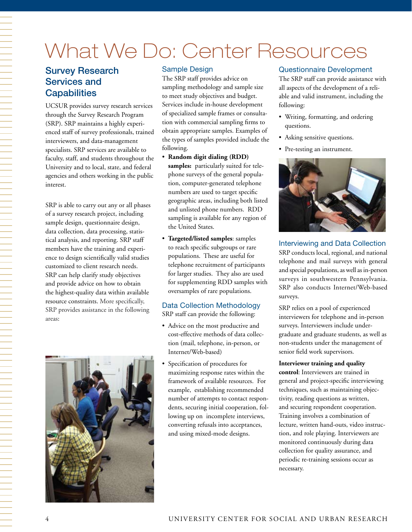# What We Do: Center Resources

## Survey Research Services and **Capabilities**

UCSUR provides survey research services through the Survey Research Program (SRP). SRP maintains a highly experienced staff of survey professionals, trained interviewers, and data-management specialists. SRP services are available to faculty, staff, and students throughout the University and to local, state, and federal agencies and others working in the public interest.

SRP is able to carry out any or all phases of a survey research project, including sample design, questionnaire design, data collection, data processing, statistical analysis, and reporting. SRP staff members have the training and experience to design scientifically valid studies customized to client research needs. SRP can help clarify study objectives and provide advice on how to obtain the highest-quality data within available resource constraints. More specifically, SRP provides assistance in the following areas:



#### Sample Design

The SRP staff provides advice on sampling methodology and sample size to meet study objectives and budget. Services include in-house development of specialized sample frames or consultation with commercial sampling firms to obtain appropriate samples. Examples of the types of samples provided include the following.

- • **Random digit dialing (RDD) samples:** particularly suited for telephone surveys of the general population, computer-generated telephone numbers are used to target specific geographic areas, including both listed and unlisted phone numbers. RDD sampling is available for any region of the United States.
- • **Targeted/listed samples**: samples to reach specific subgroups or rare populations. These are useful for telephone recruitment of participants for larger studies. They also are used for supplementing RDD samples with oversamples of rare populations.

#### Data Collection Methodology SRP staff can provide the following:

- Advice on the most productive and cost-effective methods of data collection (mail, telephone, in-person, or Internet/Web-based)
- Specification of procedures for maximizing response rates within the framework of available resources. For example, establishing recommended number of attempts to contact respondents, securing initial cooperation, following up on incomplete interviews, converting refusals into acceptances, and using mixed-mode designs.

#### Questionnaire Development

The SRP staff can provide assistance with all aspects of the development of a reliable and valid instrument, including the following:

- • Writing, formatting, and ordering questions.
- Asking sensitive questions.
- Pre-testing an instrument.



## Interviewing and Data Collection SRP conducts local, regional, and national telephone and mail surveys with general

and special populations, as well as in-person surveys in southwestern Pennsylvania. SRP also conducts Internet/Web-based surveys.

SRP relies on a pool of experienced interviewers for telephone and in-person surveys. Interviewers include undergraduate and graduate students, as well as non-students under the management of senior field work supervisors.

#### **Interviewer training and quality**

**control**: Interviewers are trained in general and project-specific interviewing techniques, such as maintaining objectivity, reading questions as written, and securing respondent cooperation. Training involves a combination of lecture, written hand-outs, video instruction, and role playing. Interviewers are monitored continuously during data collection for quality assurance, and periodic re-training sessions occur as necessary.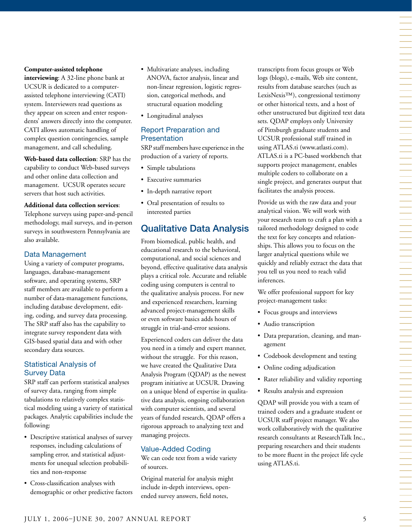#### **Computer-assisted telephone**

**interviewing**: A 32-line phone bank at UCSUR is dedicated to a computerassisted telephone interviewing (CATI) system. Interviewers read questions as they appear on screen and enter respondents' answers directly into the computer. CATI allows automatic handling of complex question contingencies, sample management, and call scheduling.

**Web-based data collection**: SRP has the capability to conduct Web-based surveys and other online data collection and management. UCSUR operates secure servers that host such activities.

#### **Additional data collection services**:

Telephone surveys using paper-and-pencil methodology, mail surveys, and in-person surveys in southwestern Pennsylvania are also available.

#### Data Management

Using a variety of computer programs, languages, database-management software, and operating systems, SRP staff members are available to perform a number of data-management functions, including database development, editing, coding, and survey data processing. The SRP staff also has the capability to integrate survey respondent data with GIS-based spatial data and with other secondary data sources.

#### Statistical Analysis of Survey Data

SRP staff can perform statistical analyses of survey data, ranging from simple tabulations to relatively complex statistical modeling using a variety of statistical packages. Analytic capabilities include the following:

- • Descriptive statistical analyses of survey responses, including calculations of sampling error, and statistical adjustments for unequal selection probabilities and non-response
- • Cross-classification analyses with demographic or other predictive factors
- Multivariate analyses, including ANOVA, factor analysis, linear and non-linear regression, logistic regression, categorical methods, and structural equation modeling
- • Longitudinal analyses

#### Report Preparation and **Presentation**

SRP staff members have experience in the production of a variety of reports.

- • Simple tabulations
- • Executive summaries
- • In-depth narrative report
- • Oral presentation of results to interested parties

## Qualitative Data Analysis

From biomedical, public health, and educational research to the behavioral, computational, and social sciences and beyond, effective qualitative data analysis plays a critical role. Accurate and reliable coding using computers is central to the qualitative analysis process. For new and experienced researchers, learning advanced project-management skills or even software basics adds hours of struggle in trial-and-error sessions.

Experienced coders can deliver the data you need in a timely and expert manner, without the struggle. For this reason, we have created the Qualitative Data Analysis Program (QDAP) as the newest program initiative at UCSUR. Drawing on a unique blend of expertise in qualitative data analysis, ongoing collaboration with computer scientists, and several years of funded research, QDAP offers a rigorous approach to analyzing text and managing projects.

#### Value-Added Coding

We can code text from a wide variety of sources.

Original material for analysis might include in-depth interviews, openended survey answers, field notes,

transcripts from focus groups or Web logs (blogs), e-mails, Web site content, results from database searches (such as LexisNexis™), congressional testimony or other historical texts, and a host of other unstructured but digitized text data sets. QDAP employs only University of Pittsburgh graduate students and UCSUR professional staff trained in using ATLAS.ti (www.atlasti.com). ATLAS.ti is a PC-based workbench that supports project management, enables multiple coders to collaborate on a single project, and generates output that facilitates the analysis process.

Provide us with the raw data and your analytical vision. We will work with your research team to craft a plan with a tailored methodology designed to code the text for key concepts and relationships. This allows you to focus on the larger analytical questions while we quickly and reliably extract the data that you tell us you need to reach valid inferences.

We offer professional support for key project-management tasks:

- • Focus groups and interviews
- Audio transcription
- • Data preparation, cleaning, and management
- Codebook development and testing
- Online coding adjudication
- Rater reliability and validity reporting
- • Results analysis and expression

QDAP will provide you with a team of trained coders and a graduate student or UCSUR staff project manager. We also work collaboratively with the qualitative research consultants at ResearchTalk Inc., preparing researchers and their students to be more fluent in the project life cycle using ATLAS.ti.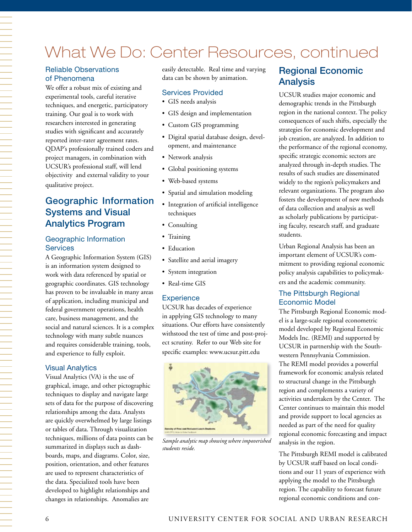## What We Do: Center Resources, continued

#### Reliable Observations of Phenomena

We offer a robust mix of existing and experimental tools, careful iterative techniques, and energetic, participatory training. Our goal is to work with researchers interested in generating studies with significant and accurately reported inter-rater agreement rates. QDAP's professionally trained coders and project managers, in combination with UCSUR's professional staff, will lend objectivity and external validity to your qualitative project.

## Geographic Information Systems and Visual Analytics Program

#### Geographic Information **Services**

A Geographic Information System (GIS) is an information system designed to work with data referenced by spatial or geographic coordinates. GIS technology has proven to be invaluable in many areas of application, including municipal and federal government operations, health care, business management, and the social and natural sciences. It is a complex technology with many subtle nuances and requires considerable training, tools, and experience to fully exploit.

#### Visual Analytics

Visual Analytics (VA) is the use of graphical, image, and other pictographic techniques to display and navigate large sets of data for the purpose of discovering relationships among the data. Analysts are quickly overwhelmed by large listings or tables of data. Through visualization techniques, millions of data points can be summarized in displays such as dashboards, maps, and diagrams. Color, size, position, orientation, and other features are used to represent characteristics of the data. Specialized tools have been developed to highlight relationships and changes in relationships. Anomalies are

easily detectable. Real time and varying data can be shown by animation.

#### Services Provided

- • GIS needs analysis
- GIS design and implementation
- • Custom GIS programming
- • Digital spatial database design, development, and maintenance
- Network analysis
- • Global positioning systems
- • Web-based systems
- Spatial and simulation modeling
- • Integration of artificial intelligence techniques
- Consulting
- Training
- Education
- • Satellite and aerial imagery
- • System integration
- Real-time GIS

#### **Experience**

UCSUR has decades of experience in applying GIS technology to many situations. Our efforts have consistently withstood the test of time and post-project scrutiny. Refer to our Web site for specific examples: www.ucsur.pitt.edu



*Sample analytic map showing where impoverished students reside.*

## Regional Economic Analysis

UCSUR studies major economic and demographic trends in the Pittsburgh region in the national context. The policy consequences of such shifts, especially the strategies for economic development and job creation, are analyzed. In addition to the performance of the regional economy, specific strategic economic sectors are analyzed through in-depth studies. The results of such studies are disseminated widely to the region's policymakers and relevant organizations. The program also fosters the development of new methods of data collection and analysis as well as scholarly publications by participating faculty, research staff, and graduate students.

Urban Regional Analysis has been an important element of UCSUR's commitment to providing regional economic policy analysis capabilities to policymakers and the academic community.

#### The Pittsburgh Regional Economic Model

The Pittsburgh Regional Economic model is a large-scale regional econometric model developed by Regional Economic Models Inc. (REMI) and supported by UCSUR in partnership with the Southwestern Pennsylvania Commission. The REMI model provides a powerful framework for economic analysis related to structural change in the Pittsburgh region and complements a variety of activities undertaken by the Center. The Center continues to maintain this model and provide support to local agencies as needed as part of the need for quality regional economic forecasting and impact analysis in the region.

The Pittsburgh REMI model is calibrated by UCSUR staff based on local conditions and our 11 years of experience with applying the model to the Pittsburgh region. The capability to forecast future regional economic conditions and con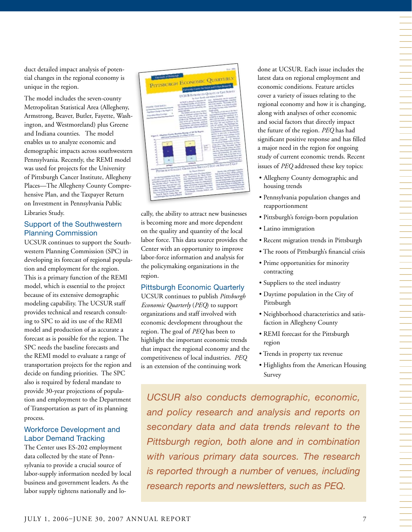duct detailed impact analysis of potential changes in the regional economy is unique in the region.

The model includes the seven-county Metropolitan Statistical Area (Allegheny, Armstrong, Beaver, Butler, Fayette, Washington, and Westmoreland) plus Greene and Indiana counties. The model enables us to analyze economic and demographic impacts across southwestern Pennsylvania. Recently, the REMI model was used for projects for the University of Pittsburgh Cancer Institute, Allegheny Places—The Allegheny County Comprehensive Plan, and the Taxpayer Return on Investment in Pennsylvania Public Libraries Study.

#### Support of the Southwestern Planning Commission

UCSUR continues to support the Southwestern Planning Commission (SPC) in developing its forecast of regional population and employment for the region. This is a primary function of the REMI model, which is essential to the project because of its extensive demographic modeling capability. The UCSUR staff provides technical and research consulting to SPC to aid its use of the REMI model and production of as accurate a forecast as is possible for the region. The SPC needs the baseline forecasts and the REMI model to evaluate a range of transportation projects for the region and decide on funding priorities. The SPC also is required by federal mandate to provide 30-year projections of population and employment to the Department of Transportation as part of its planning process.

#### Workforce Development and Labor Demand Tracking

The Center uses ES-202 employment data collected by the state of Pennsylvania to provide a crucial source of labor-supply information needed by local business and government leaders. As the labor supply tightens nationally and lo-

| For 200                                                                                                                                                                                                                                                                                                                                                                                                                                                                                  |
|------------------------------------------------------------------------------------------------------------------------------------------------------------------------------------------------------------------------------------------------------------------------------------------------------------------------------------------------------------------------------------------------------------------------------------------------------------------------------------------|
| <b>Executive of Pointwick</b><br>PITTSBURGH ECONOMIC QUARTERLY                                                                                                                                                                                                                                                                                                                                                                                                                           |
| Columnist Courtes for Service and Extrem Museums                                                                                                                                                                                                                                                                                                                                                                                                                                         |
| <b>UCSUR INTRODUCES QUALITY OF LIFE SCRIET</b><br>by Scott Bowls and Salary Detailed<br>party federation per by payment                                                                                                                                                                                                                                                                                                                                                                  |
| plays defining providing accounts<br>LCT/LTL is placed to measure in<br>and postal Lababies - Reachastic of Lite<br>are Freehands treater of Life Samos<br>when will play as a payme bank<br>The banding of L.O. serves sentences was<br>POSTER THEN BUILTING<br>and changes in many tasker is the Plant<br>portrait trajected to part and to 63 to colli-                                                                                                                               |
| Frankening Cheese to the Angeles, 4<br><b>Burgh Aspires</b><br><b>Brown policyle</b><br>The Gradity of Lab saves the late of<br>The Goality of Life street will be<br>ting confident indicate a competition<br>pose at reported statement of these<br><b>Reported Prop Country</b><br>programs to prope the conditions of a<br>profit check specifica will have structured<br>plan and to purple. Package aus<br>work is the Pastwood export. Many                                       |
| and of the firm comes in the names in the<br>aces of the parent harbots sympathy<br>and when the and sometimes to the<br>de localizata companho policido<br>and) by someth. The Patrimond Lan<br><b>American ad local patricia</b><br>can train approvement by the Municial Angele<br>prompt to the fourthful, machiner and auduling the                                                                                                                                                 |
| Foundation in 1997 and 1999. To see<br>provided from small wheel income on<br>Figure 1. Alleghore County Business Bureaux of 018 PA Registe<br>police in the new is fundamental<br>partiest tellight by present offereigns to the<br>and Lord Community as a Print of Lord<br>personal parts by imposited pay-                                                                                                                                                                           |
| art to environment. An interested<br><b>University and Sharps Sudveyors of their</b><br>beigh becomes historiche of Pali-<br>÷<br>۰<br>hand From 1998, 23 noted Tutcher<br>×<br>and of the processing contexts, an oldered<br>٠<br>gant.                                                                                                                                                                                                                                                 |
| the wing of knowledge building produc-<br>$\frac{1}{2}$<br>٠<br>post and instrument all could bene<br>۷<br>point of Hart tools in the local of its<br>projects about to the Phonicarph Practacy and                                                                                                                                                                                                                                                                                      |
| ۰<br>the band salesty increased man gas-<br>٠<br><b>Contract of America</b><br>ú<br>$\rightarrow$<br>and to "                                                                                                                                                                                                                                                                                                                                                                            |
| PITTIN WAS COLLEGE GROUNDS SWALLD I SAW OR SECTIO I GO?<br><b>Walter Park and Threader marketing</b><br>had not why as more unless graduate<br>strated in framedy (inclusional limit<br>over them by Normal Project County<br>soly Variating the Boat Boat                                                                                                                                                                                                                               |
| there has most productive deaths which<br>stud fort repudem does for all<br>tion (Take Edwards) was The Title-<br>to live and work? And how over they for<br>pened bullyheads that uses plans<br>trough Region' (May 1981). This report<br>primated to minute to the name where<br>the materials constraint programs by<br>the woman for worth of a contract with<br>the straight college! There are real<br>pane, dud stream of States pan, by<br>phone and become survey standarded in |
| portion for men were not your one<br>maker counter-they conserved to Print and<br>WHY OF \$195 paints guideline of their<br>and) representing a Technical County<br>a inflationalists and has been plan-<br>Follow an about a based<br>sellon studies galaxies pubasiels<br><b>Electronic Actuals</b><br>of Prachards, Campbi McBox, and<br>from in schoolst and schools, book-<br>have & Harris Cardys Rev. and<br><b>House</b>                                                         |
| constitution income painter                                                                                                                                                                                                                                                                                                                                                                                                                                                              |

cally, the ability to attract new businesses is becoming more and more dependent on the quality and quantity of the local labor force. This data source provides the Center with an opportunity to improve labor-force information and analysis for the policymaking organizations in the region.

#### Pittsburgh Economic Quarterly

UCSUR continues to publish *Pittsburgh Economic Quarterly* (*PEQ*) to support organizations and staff involved with economic development throughout the region. The goal of *PEQ* has been to highlight the important economic trends that impact the regional economy and the competitiveness of local industries. *PEQ* is an extension of the continuing work

done at UCSUR. Each issue includes the latest data on regional employment and economic conditions. Feature articles cover a variety of issues relating to the regional economy and how it is changing, along with analyses of other economic and social factors that directly impact the future of the region. *PEQ* has had significant positive response and has filled a major need in the region for ongoing study of current economic trends. Recent issues of *PEQ* addressed these key topics:

- • Allegheny County demographic and housing trends
- Pennsylvania population changes and reapportionment
- Pittsburgh's foreign-born population
- Latino immigration
- Recent migration trends in Pittsburgh
- The roots of Pittsburgh's financial crisis
- Prime opportunities for minority contracting
- Suppliers to the steel industry
- Daytime population in the City of Pittsburgh
- Neighborhood characteristics and satisfaction in Allegheny County
- REMI forecast for the Pittsburgh region
- Trends in property tax revenue
- Highlights from the American Housing Survey

*UCSUR also conducts demographic, economic, and policy research and analysis and reports on secondary data and data trends relevant to the Pittsburgh region, both alone and in combination with various primary data sources. The research is reported through a number of venues, including research reports and newsletters, such as PEQ.*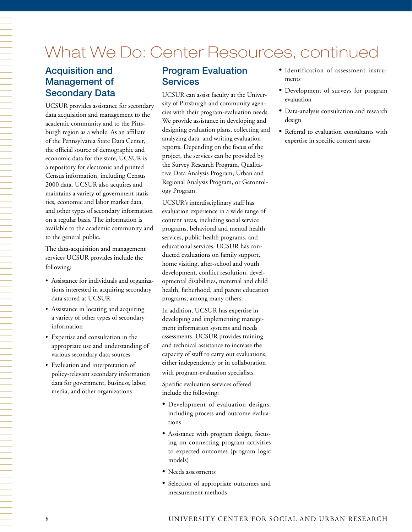## What We Do: Center Resources, continued

## Acquisition and Management of Secondary Data

UCSUR provides assistance for secondary data acquisition and management to the academic community and to the Pittsburgh region as a whole. As an affiliate of the Pennsylvania State Data Center, the official source of demographic and economic data for the state, UCSUR is a repository for electronic and printed Census information, including Census 2000 data. UCSUR also acquires and maintains a variety of government statistics, economic and labor market data, and other types of secondary information on a regular basis. The information is available to the academic community and to the general public.

The data-acquisition and management services UCSUR provides include the following:

- • Assistance for individuals and organizations interested in acquiring secondary data stored at UCSUR
- • Assistance in locating and acquiring a variety of other types of secondary information
- • Expertise and consultation in the appropriate use and understanding of various secondary data sources
- • Evaluation and interpretation of policy-relevant secondary information data for government, business, labor, media, and other organizations

## Program Evaluation **Services**

UCSUR can assist faculty at the University of Pittsburgh and community agencies with their program-evaluation needs. We provide assistance in developing and designing evaluation plans, collecting and analyzing data, and writing evaluation reports. Depending on the focus of the project, the services can be provided by the Survey Research Program, Qualitative Data Analysis Program, Urban and Regional Analysis Program, or Gerontology Program.

UCSUR's interdisciplinary staff has evaluation experience in a wide range of content areas, including social service programs, behavioral and mental health services, public health programs, and educational services. UCSUR has conducted evaluations on family support, home visiting, after-school and youth development, conflict resolution, developmental disabilities, maternal and child health, fatherhood, and parent education programs, among many others.

In addition, UCSUR has expertise in developing and implementing management information systems and needs assessments. UCSUR provides training and technical assistance to increase the capacity of staff to carry out evaluations, either independently or in collaboration with program-evaluation specialists.

Specific evaluation services offered include the following:

- • Development of evaluation designs, including process and outcome evaluations
- Assistance with program design, focusing on connecting program activities to expected outcomes (program logic models)
- • Needs assessments
- • Selection of appropriate outcomes and measurement methods
- • Identification of assessment instruments
- • Development of surveys for program evaluation
- • Data-analysis consultation and research design
- • Referral to evaluation consultants with expertise in specific content areas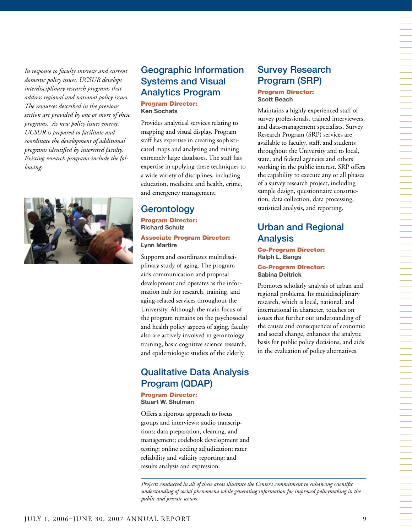*In response to faculty interests and current domestic policy issues, UCSUR develops interdisciplinary research programs that address regional and national policy issues. The resources described in the previous section are provided by one or more of these programs. As new policy issues emerge, UCSUR is prepared to facilitate and coordinate the development of additional programs identified by interested faculty. Existing research programs include the following:*



## Geographic Information Systems and Visual Analytics Program Program Director:

**Ken Sochats**

Provides analytical services relating to mapping and visual display. Program staff has expertise in creating sophisticated maps and analyzing and mining extremely large databases. The staff has expertise in applying these techniques to a wide variety of disciplines, including education, medicine and health, crime, and emergency management.

## Gerontology

Program Director: **Richard Schulz**

Associate Program Director: **Lynn Martire**

Supports and coordinates multidisciplinary study of aging. The program aids communication and proposal development and operates as the information hub for research, training, and aging-related services throughout the University. Although the main focus of the program remains on the psychosocial and health policy aspects of aging, faculty also are actively involved in gerontology training, basic cognitive science research, and epidemiologic studies of the elderly.

## Qualitative Data Analysis Program (QDAP)

Program Director: **Stuart W. Shulman**

Offers a rigorous approach to focus groups and interviews; audio transcriptions; data preparation, cleaning, and management; codebook development and testing; online coding adjudication; rater reliability and validity reporting; and results analysis and expression.

## Survey Research Program (SRP)

Program Director: **Scott Beach**

Maintains a highly experienced staff of survey professionals, trained interviewers, and data-management specialists. Survey Research Program (SRP) services are available to faculty, staff, and students throughout the University and to local, state, and federal agencies and others working in the public interest. SRP offers the capability to execute any or all phases of a survey research project, including sample design, questionnaire construction, data collection, data processing, statistical analysis, and reporting.

## Urban and Regional Analysis

#### Co-Program Director: **Ralph L. Bangs**

Co-Program Director: **Sabina Deitrick**

Promotes scholarly analysis of urban and regional problems. Its multidisciplinary research, which is local, national, and international in character, touches on issues that further our understanding of the causes and consequences of economic and social change, enhances the analytic basis for public policy decisions, and aids in the evaluation of policy alternatives.

*Projects conducted in all of these areas illustrate the Center's commitment to enhancing scientific understanding of social phenomena while generating information for improved policymaking in the public and private sectors.*

一个人的人,我们就是一个人的人,我们就是一个人的人,我们就是一个人的人,我们就是一个人的人,我们就是一个人的人,我们就是一个人的人,我们就是一个人的人,我们就是一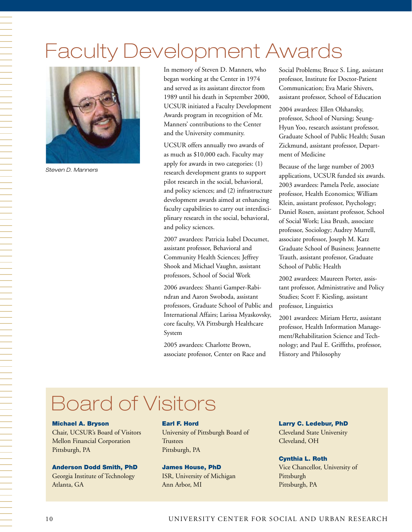# Faculty Development Awards



*Steven D. Manners*

In memory of Steven D. Manners, who began working at the Center in 1974 and served as its assistant director from 1989 until his death in September 2000, UCSUR initiated a Faculty Development Awards program in recognition of Mr. Manners' contributions to the Center and the University community.

UCSUR offers annually two awards of as much as \$10,000 each. Faculty may apply for awards in two categories: (1) research development grants to support pilot research in the social, behavioral, and policy sciences; and (2) infrastructure development awards aimed at enhancing faculty capabilities to carry out interdisciplinary research in the social, behavioral, and policy sciences.

2007 awardees: Patricia Isabel Documet, assistant professor, Behavioral and Community Health Sciences; Jeffrey Shook and Michael Vaughn, assistant professors, School of Social Work

2006 awardees: Shanti Gamper-Rabindran and Aaron Swoboda, assistant professors, Graduate School of Public and International Affairs; Larissa Myaskovsky, core faculty, VA Pittsburgh Healthcare System

2005 awardees: Charlotte Brown, associate professor, Center on Race and Social Problems; Bruce S. Ling, assistant professor, Institute for Doctor-Patient Communication; Eva Marie Shivers, assistant professor, School of Education

2004 awardees: Ellen Olshansky, professor, School of Nursing; Seung-Hyun Yoo, research assistant professor, Graduate School of Public Health; Susan Zickmund, assistant professor, Department of Medicine

Because of the large number of 2003 applications, UCSUR funded six awards. 2003 awardees: Pamela Peele, associate professor, Health Economics; William Klein, assistant professor, Psychology; Daniel Rosen, assistant professor, School of Social Work; Lisa Brush, associate professor, Sociology; Audrey Murrell, associate professor, Joseph M. Katz Graduate School of Business; Jeannette Trauth, assistant professor, Graduate School of Public Health

2002 awardees: Maureen Porter, assistant professor, Administrative and Policy Studies; Scott F. Kiesling, assistant professor, Linguistics

2001 awardees: Miriam Hertz, assistant professor, Health Information Management/Rehabilitation Science and Technology; and Paul E. Griffiths, professor, History and Philosophy

# Board of Visitors

#### Michael A. Bryson

Chair, UCSUR's Board of Visitors Mellon Financial Corporation Pittsburgh, PA

#### Anderson Dodd Smith, PhD

Georgia Institute of Technology Atlanta, GA

#### Earl F. Hord

University of Pittsburgh Board of **Trustees** Pittsburgh, PA

#### James House, PhD

ISR, University of Michigan Ann Arbor, MI

Larry C. Ledebur, PhD Cleveland State University

Cleveland, OH

#### Cynthia L. Roth

Vice Chancellor, University of Pittsburgh Pittsburgh, PA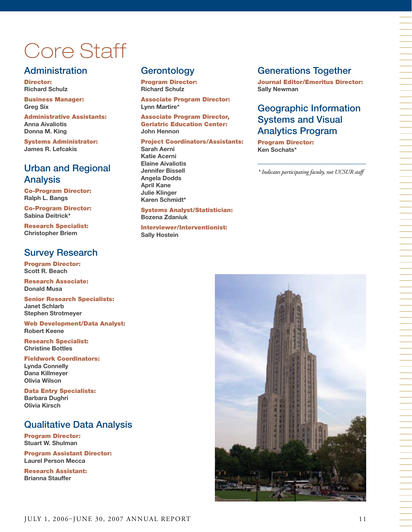# Core Staff

## **Administration**

Director: **Richard Schulz** 

Business Manager: **Greg Six** 

Administrative Assistants: **Anna Aivaliotis Donna M. King** 

Systems Administrator: **James R. Lefcakis**

## Urban and Regional Analysis

Co-Program Director: **Ralph L. Bangs** 

Co-Program Director: **Sabina Deitrick\***

Research Specialist: **Christopher Briem**

## Survey Research

Program Director: **Scott R. Beach**

Research Associate: **Donald Musa** 

Senior Research Specialists: **Janet Schlarb Stephen Strotmeyer**

Web Development/Data Analyst: **Robert Keene**

Research Specialist: **Christine Bottles**

Fieldwork Coordinators: **Lynda Connelly Dana Killmeyer Olivia Wilson** 

Data Entry Specialists: **Barbara Dughri Olivia Kirsch** 

## Qualitative Data Analysis

Program Director: **Stuart W. Shulman**

Program Assistant Director: **Laurel Person Mecca**

Research Assistant: **Brianna Stauffer**

## **Gerontology**

Program Director: **Richard Schulz** 

Associate Program Director: **Lynn Martire\*** 

Associate Program Director, Geriatric Education Center: **John Hennon** 

Project Coordinators/Assistants: **Sarah Aerni Katie Acerni Elaine Aivaliotis Jennifer Bissell Angela Dodds April Kane Julie Klinger** 

#### Systems Analyst/Statistician: **Bozena Zdaniuk**

**Karen Schmidt\***

Interviewer/Interventionist: **Sally Hostein**

## Generations Together

Journal Editor/Emeritus Director: **Sally Newman**

## Geographic Information Systems and Visual Analytics Program

Program Director: **Ken Sochats\*** 

*\* Indicates participating faculty, not UCSUR staff* 

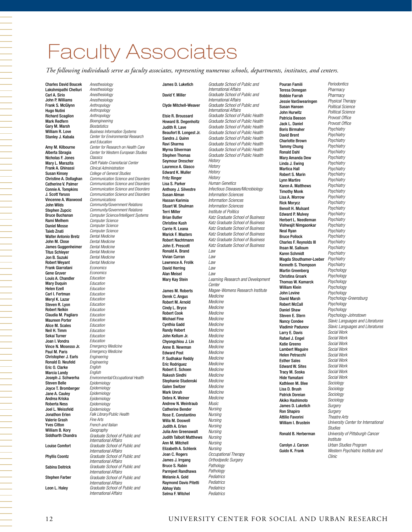# Faculty Associates

*The following individuals serve as faculty associates, representing numerous schools, departments, institutes, and centers.*

Charles David Boucek Lakshmipathi Chelluri Carl A. Sirio John P. Williams Frank S. McGlynn Hugo Nutini Richard Scaglion Mark Redfern Gary M. Marsh William R. Love Stanley J. Kabala

*Anesthesiology*

Amy M. Kilbourne Alberta Sbragia Nicholas F. Jones Mary L. Marazita Frank A. Ghinassi Susan Kinsey Christine A. Dollaghan Catherine V. Palmer Connie A. Tompkins J. Scott Yaruss Vincenne A. Waxwood John Wilds Stephen Zupcic Bruce Buchanan Rami Melhem Daniel Mosse Taieb Znati Walter Antonio Bretz John M. Close James Guggenheimer Titus Schleyer Jon B. Suzuki Robert Weyant Frank Giarratani Gene Gruver Louis A. Chandler **Mary Duquin** Helen Ezell Carl I. Fertman Meryl K. Lazar Steven R. Lyon Robert Nelkin Claudia M. Pagliaro Maureen Porter Alice M. Scales Neil H. Timm Sekai Turner Joan I. Vondra Vince N. Mosesso Jr. Paul M. Paris Christopher J. Earls Ronald D. Neufeld Eric O. Clarke Marcia Landy Joseph J. Schwerha Steven Belle Joyce T. Bromberger Jane A. Cauley Andrea Kriska Roberta Ness Joel L. Weissfeld Jonathon Erlen Valerie Grash Yves Citton William B. Kory Siddharth Chandra Louise Comfort Phyllis Coontz Sabina Deitrick Stephen Farber Leon L. Haley

*Anesthesiology Anesthesiology Anesthesiology Anthropology Anthropology Anthropology Bioengineering Biostatistics Business Information Systems Center for Environmental Research and Education Center for Research on Health Care Center for Western European Studies Classics Cleft Palate-Craniofacial Center Clinical Administration College of General Studies Communication Science and Disorders Communication Science and Disorders Communication Science and Disorders Communication Science and Disorders Communications Community/Government Relations Community/Government Relations Computer Science/Intelligent Systems Computer Science Computer Science Computer Science Dental Medicine Dental Medicine Dental Medicine Dental Medicine Dental Medicine Dental Medicine Economics Economics Education Education Education Education Education Education Education Education Education Education Education Education Education Emergency Medicine Emergency Medicine Engineering Engineering English English Environmental/Occupational Health Epidemiology Epidemiology Epidemiology Epidemiology Epidemiology Epidemiology Falk Library/Public Health Fine Arts French and Italian Geography Graduate School of Public and International Affairs Graduate School of Public and International Affairs Graduate School of Public and International Affairs Graduate School of Public and International Affairs Graduate School of Public and International Affairs Graduate School of Public and International Affairs*

#### James D. Luketich

#### David Y. Miller

#### Clyde Mitchell-Weaver

Elsie R. Broussard Howard B. Degenholtz Judith R. Lave Beaufort B. Longest Jr. Sandra J. Quinn Ravi Sharma Myrna Silverman Stephen Thomas Seymour Drescher Laurence A. Glasco Edward K. Muller Fritz Ringer Lisa S. Parker Anthony J. Silvestre Susan Alman Hassan Karimia Stuart W. Shulman Terri Miller Brian Butler Christine Kush Carrie R. Leana Marick F. Masters Robert Nachtmann John E. Prescott Ronald A. Brand Vivian Curran Lawrence A. Frolik David Herring Alan Meisel Mary Kay Stein James M. Roberts Derek C. Angus Robert M. Arnold Cindy L. Bryce Robert Cook Michael Fine Cynthia Gadd Randy Hebert John Kellum Jr. Chyongchiou J. Lin Anne B. Newman Edward Post P. Sudhakar Reddy Eric Rodriguez Robert E. Schoen Rakesh Sindhi Stephanie Studenski Galen Switzer Mark Unruh Debra K. Weiner Andrew N. Weintraub Catherine Bender Rose E. Constantino Willa M. Doswell Judith A. Erlen Julia Ann Greenawalt Judith Talbolt Matthews Ann M. Mitchell Elizabeth A. Schlenk Joan C. Rogers James J. Irrgang Bruce S. Rabin Parmjeet Randhawa Melanie A. Gold Raymond Davis Pitetti Abhay Vats Selma F. Witchel

*Graduate School of Public and International Affairs Graduate School of Public and International Affairs Graduate School of Public and International Affairs Graduate School of Public Health Graduate School of Public Health Graduate School of Public Health Graduate School of Public Health Graduate School of Public Health Graduate School of Public Health Graduate School of Public Health Graduate School of Public Health History History History History Human Genetics Infectious Diseases/Microbiology Information Sciences Information Sciences Information Sciences Institute of Politics Katz Graduate School of Business Katz Graduate School of Business Katz Graduate School of Business Katz Graduate School of Business Katz Graduate School of Business Katz Graduate School of Business Law Law Law Law Law Learning Research and Development Center Magee-Womens Research Institute Medicine Medicine Medicine Medicine Medicine Medicine Medicine Medicine Medicine Medicine Medicine Medicine Medicine Medicine Medicine Medicine Medicine Medicine Medicine Music Nursing Nursing Nursing Nursing Nursing Nursing Nursing Nursing Occupational Therapy Orthodpedic Surgery Pathology Pathology Pediatrics Pediatrics Pediatrics Pediatrics*

Pouran Famili Teresa Donegan Bobbie Farrah Jessie VanSwearingen Susan Hansen John Hurwitz Patricia Beeson Jack L. Daniel Boris Birmaher David Brent Charlotte Brown Tammy Chung Ronald Dahl Mary Amanda Dew Linda J. Ewing Martica Hall Robert S. Marin Lynn Martire Karen A. Matthews Timothy Monk Lisa A. Morrow Rick Morycz Benoit H. Mulsant Edward P. Mulvey Herbert L. Needleman Vishwajit Nimgaonkar Neal Ryan Bruce Pollock Charles F. Reynolds III Ihsan M. Salloum Karen Schmidt Magda Stouthamer-Loeber Kenneth S. Thompson Martin Greenberg Christina Groark Thomas W. Kamarck William Klein John Levine David Marsh Robert McCall Daniel Shaw Steven E. Stern Nancy Condee Vladimir Padunov Larry E. Davis Rafael J. Engel Katie Greeno Lambert Maguire Helen Petracchi Esther Sales Edward W. Sites Tracy M. Soska Hide Yamatani Kathleen M. Blee Lisa D. Brush Patrick Doreian Akiko Hashimoto James D. Luketich Ron Shapiro Attilio Favorini William I. Brustein Ronald B. Herberman Carolyn J. Carson Guido K. Frank

*Pharmacy Pharmacy Physical Therapy Political Science Political Science Provost Office Provost Office Psychiatry Psychiatry Psychiatry Psychiatry Psychiatry Psychiatry Psychiatry Psychiatry Psychiatry Psychiatry Psychiatry Psychiatry Psychiatry Psychiatry Psychiatry Psychiatry Psychiatry Psychiatry Psychiatry Psychiatry Psychiatry Psychiatry Psychiatry Psychiatry Psychiatry Psychology Psychology Psychology Psychology Psychology Psychology-Greensburg Psychology Psychology Psychology-Johnstown Slavic Languages and Literatures Slavic Languages and Literatures Social Work Social Work Social Work Social Work Social Work Social Work Social Work Social Work Social Work Sociology Sociology Sociology Sociology Surgery Surgery Theatre Arts University Center for International Studies University of Pittsburgh Cancer Institute Urban Studies Program Western Psychiatric Institute and Clinic*

*Periodontics*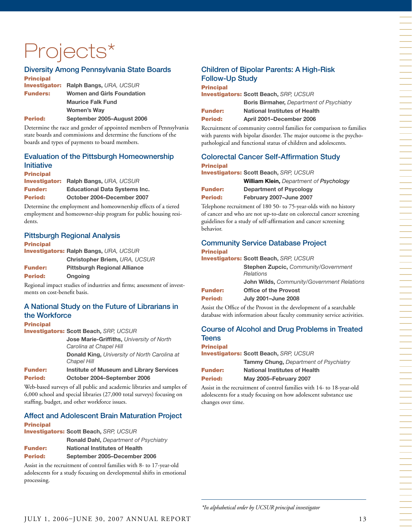# Projects\*

#### Diversity Among Pennsylvania State Boards

| <b>Principal</b> |                                              |
|------------------|----------------------------------------------|
|                  | <b>Investigator: Ralph Bangs, URA, UCSUR</b> |
| <b>Funders:</b>  | <b>Women and Girls Foundation</b>            |
|                  | <b>Maurice Falk Fund</b>                     |
|                  | Women's Way                                  |
| <b>Period:</b>   | September 2005-August 2006                   |

Determine the race and gender of appointed members of Pennsylvania state boards and commissions and determine the functions of the boards and types of payments to board members.

### Evaluation of the Pittsburgh Homeownership Initiative

Principal Investigator: **Ralph Bangs,** *URA, UCSUR* Funder: **Educational Data Systems Inc.** Period: **October 2004–December 2007**

Determine the employment and homeownership effects of a tiered employment and homeowner-ship program for public housing residents.

#### Pittsburgh Regional Analysis

Principal Investigators: **Ralph Bangs,** *URA, UCSUR* **Christopher Briem,** *URA, UCSUR* Funder: **Pittsburgh Regional Alliance**

Period: **Ongoing**

Regional impact studies of industries and firms; assessment of investments on cost-benefit basis.

#### A National Study on the Future of Librarians in the Workforce

#### Principal

Investigators: **Scott Beach,** *SRP, UCSUR*

**Jose Marie-Griffiths,** *University of North Carolina at Chapel Hill* **Donald King,** *University of North Carolina at Chapel Hill* Funder: **Institute of Museum and Library Services**

Period: **October 2004–September 2006**

Web-based surveys of all public and academic libraries and samples of 6,000 school and special libraries (27,000 total surveys) focusing on staffing, budget, and other workforce issues.

| <b>Affect and Adolescent Brain Maturation Project</b> |
|-------------------------------------------------------|
| <b>Principal</b>                                      |
| <b>Investigators: Scott Beach. SRP. UCSUR</b>         |
| <b>Ronald Dahl, Department of Psychiatry</b>          |

```
Funder: National Institutes of Health
```

```
Period: September 2005–December 2006
```
Assist in the recruitment of control families with 8- to 17-year-old adolescents for a study focusing on developmental shifts in emotional processing.

## Children of Bipolar Parents: A High-Risk Follow-Up Study

Principal Investigators: **Scott Beach,** *SRP, UCSUR*

**Boris Birmaher,** *Department of Psychiatry* Funder: **National Institutes of Health**

Period: **April 2001–December 2006** Recruitment of community control families for comparison to families

with parents with bipolar disorder. The major outcome is the psychopathological and functional status of children and adolescents.

#### Colorectal Cancer Self-Affirmation Study Principal

Investigators: **Scott Beach,** *SRP, UCSUR*

**William Klein,** *Department of Psychology* Funder: **Department of Psycology**

Period: **February 2007–June 2007**

Telephone recruitment of 180 50- to 75-year-olds with no history of cancer and who are not up-to-date on colorectal cancer screening guidelines for a study of self-affirmation and cancer screening behavior.

#### Community Service Database Project **Principal**

Investigators: **Scott Beach,** *SRP, UCSUR*

**Stephen Zupcic,** *Community/Government Relations* **John Wilds,** *Community/Government Relations* Funder: **Office of the Provost**

Period: **July 2001–June 2008**

Assist the Office of the Provost in the development of a searchable database with information about faculty community service activities.

#### Course of Alcohol and Drug Problems in Treated **Teens**

#### Principal

Investigators: **Scott Beach,** *SRP, UCSUR*

|                | <b>Tammy Chung, Department of Psychiatry</b> |
|----------------|----------------------------------------------|
| <b>Funder:</b> | <b>National Institutes of Health</b>         |
| <b>Period:</b> | May 2005-February 2007                       |

Assist in the recruitment of control families with 14- to 18-year-old adolescents for a study focusing on how adolescent substance use changes over time.

一个人,我们就是一个人,我们就是一个人,我们就是一个人,我们就是一个人,我们就是一个人,我们就是一个人,我们就是一个人,我们就是一个人,我们就是一个人,我们就是一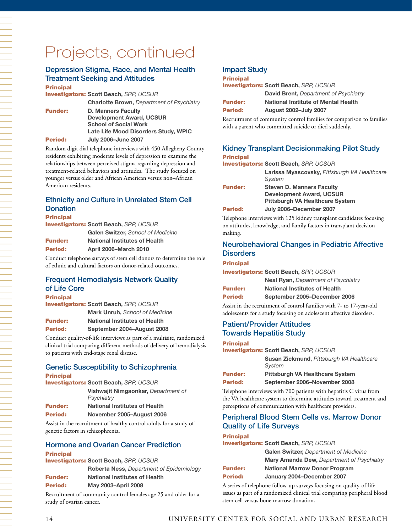## Projects, continued

### Depression Stigma, Race, and Mental Health Treatment Seeking and Attitudes

#### Principal

Investigators: **Scott Beach,** *SRP, UCSUR*

**Charlotte Brown,** *Department of Psychiatry*

Funder: **D. Manners Faculty Development Award, UCSUR School of Social Work Late Life Mood Disorders Study, WPIC** Period: **July 2006–June 2007**

Random digit dial telephone interviews with 450 Allegheny County residents exhibiting moderate levels of depression to examine the relationships between perceived stigma regarding depression and treatment-related behaviors and attitudes. The study focused on younger versus older and African American versus non–African American residents.

### Ethnicity and Culture in Unrelated Stem Cell **Donation**

**Principal** 

|                | <b>Investigators: Scott Beach, SRP, UCSUR</b> |
|----------------|-----------------------------------------------|
|                | Galen Switzer, School of Medicine             |
| <b>Funder:</b> | <b>National Institutes of Health</b>          |
| <b>Period:</b> | <b>April 2006-March 2010</b>                  |

Conduct telephone surveys of stem cell donors to determine the role of ethnic and cultural factors on donor-related outcomes.

#### Frequent Hemodialysis Network Quality of Life Core

#### **Principal**

Investigators: **Scott Beach,** *SRP, UCSUR* **Mark Unruh,** *School of Medicine*  Funder: **National Institutes of Health** Period: **September 2004–August 2008**

Conduct quality-of-life interviews as part of a multisite, randomized clinical trial comparing different methods of delivery of hemodialysis to patients with end-stage renal disease.

#### Genetic Susceptibility to Schizophrenia Principal

|                | <b>Investigators: Scott Beach, SRP, UCSUR</b>     |
|----------------|---------------------------------------------------|
|                | Vishwajit Nimgaonkar, Department of<br>Psychiatry |
| <b>Funder:</b> | <b>National Institutes of Health</b>              |
| Period:        | November 2005-August 2006                         |

Assist in the recruitment of healthy control adults for a study of genetic factors in schizophrenia.

#### Hormone and Ovarian Cancer Prediction Principal

|                | <b>Investigators: Scott Beach. SRP. UCSUR</b>                   |
|----------------|-----------------------------------------------------------------|
|                | <b>Roberta Ness, Department of Epidemiology</b>                 |
| <b>Funder:</b> | <b>National Institutes of Health</b>                            |
| Period:        | <b>May 2003-April 2008</b>                                      |
|                | Recruitment of community control females age 25 and older for a |

cruitment of community control females age 25 and older for a study of ovarian cancer.

#### Impact Study

#### **Principal**

| <b>Funder:</b> | <b>National Institute of Mental Health</b>    |
|----------------|-----------------------------------------------|
|                | <b>David Brent, Department of Psychiatry</b>  |
|                | <b>Investigators: Scott Beach.</b> SRP. UCSUR |

Period: **August 2002–July 2007**

Recruitment of community control families for comparison to families with a parent who committed suicide or died suddenly.

#### Kidney Transplant Decisionmaking Pilot Study **Principal**

| .              |                                                                                                               |
|----------------|---------------------------------------------------------------------------------------------------------------|
|                | <b>Investigators: Scott Beach, SRP, UCSUR</b>                                                                 |
|                | Larissa Myascovsky, Pittsburgh VA Healthcare<br>System                                                        |
| <b>Funder:</b> | <b>Steven D. Manners Faculty</b><br><b>Development Award, UCSUR</b><br><b>Pittsburgh VA Healthcare System</b> |
| <b>Period:</b> | July 2006-December 2007                                                                                       |
|                |                                                                                                               |

Telephone interviews with 125 kidney transplant candidates focusing on attitudes, knowledge, and family factors in transplant decision making.

#### Neurobehavioral Changes in Pediatric Affective **Disorders**

#### Principal

Investigators: **Scott Beach,** *SRP, UCSUR*

|                | <b>Neal Ryan, Department of Psychiatry</b> |
|----------------|--------------------------------------------|
| <b>Funder:</b> | <b>National Institutes of Health</b>       |
| Period:        | September 2005–December 2006               |

Assist in the recruitment of control families with 7- to 17-year-old adolescents for a study focusing on adolescent affective disorders.

#### Patient/Provider Attitudes Towards Hepatitis Study

#### Principal

Investigators: **Scott Beach,** *SRP, UCSUR*

| Susan Zickmund, Pittsburgh VA Healthcare<br>System |
|----------------------------------------------------|
| <b>Pittsburgh VA Healthcare System</b>             |
| September 2006-November 2008                       |
|                                                    |

Telephone interviews with 700 patients with hepatitis C virus from the VA healthcare system to determine attitudes toward treatment and perceptions of communication with healthcare providers.

#### Peripheral Blood Stem Cells vs. Marrow Donor Quality of Life Surveys

#### **Principal**

| <b>Investigators: Scott Beach, SRP, UCSUR</b> |                                                  |  |
|-----------------------------------------------|--------------------------------------------------|--|
|                                               | <b>Galen Switzer, Department of Medicine</b>     |  |
|                                               | <b>Mary Amanda Dew, Department of Psychiatry</b> |  |
| <b>Funder:</b>                                | <b>National Marrow Donor Program</b>             |  |
| <b>Period:</b>                                | January 2004–December 2007                       |  |

A series of telephone follow-up surveys focusing on quality-of-life issues as part of a randomized clinical trial comparing peripheral blood stem cell versus bone marrow donation.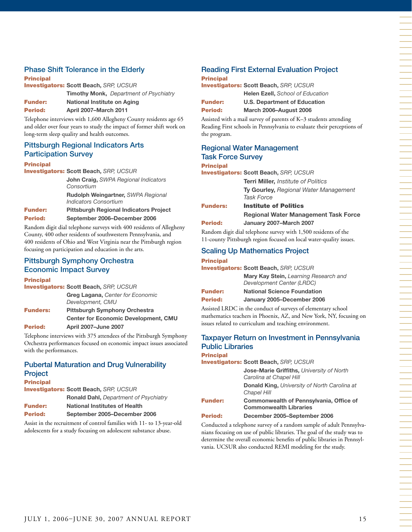### Phase Shift Tolerance in the Elderly

**Principal** Investigators: **Scott Beach,** *SRP, UCSUR* **Timothy Monk,** *Department of Psychiatry* Funder: **National Institute on Aging**

Period: **April 2007–March 2011**

Telephone interviews with 1,600 Allegheny County residents age 65 and older over four years to study the impact of former shift work on long-term sleep quality and health outcomes.

#### Pittsburgh Regional Indicators Arts Participation Survey

#### **Principal**

Investigators: **Scott Beach,** *SRP, UCSUR*

**John Craig,** *SWPA Regional Indicators Consortium*

**Rudolph Weingartner,** *SWPA Regional Indicators Consortium*

Funder: **Pittsburgh Regional Indicators Project** Period: **September 2006–December 2006**

Random digit dial telephone surveys with 400 residents of Allegheny County, 400 other residents of southwestern Pennsylvania, and 400 residents of Ohio and West Virginia near the Pittsburgh region focusing on participation and education in the arts.

#### Pittsburgh Symphony Orchestra Economic Impact Survey

#### **Principal**

Investigators: **Scott Beach,** *SRP, UCSUR*

**Greg Lagana,** *Center for Economic Development, CMU* Funders: **Pittsburgh Symphony Orchestra Center for Economic Development, CMU**

#### Period: **April 2007–June 2007**

Telephone interviews with 375 attendees of the Pittsburgh Symphony Orchestra performances focused on economic impact issues associated with the performances.

#### Pubertal Maturation and Drug Vulnerability

| Project                                       |                                              |
|-----------------------------------------------|----------------------------------------------|
| <b>Principal</b>                              |                                              |
| <b>Investigators: Scott Beach, SRP, UCSUR</b> |                                              |
|                                               | <b>Ronald Dahl, Department of Psychiatry</b> |
| <b>Funder:</b>                                | <b>National Institutes of Health</b>         |
| Period:                                       | September 2005-December 2006                 |

Assist in the recruitment of control families with 11- to 13-year-old adolescents for a study focusing on adolescent substance abuse.

#### Reading First External Evaluation Project **Principal**

Investigators: **Scott Beach,** *SRP, UCSUR* **Helen Ezell,** *School of Education* Funder: **U.S. Department of Education** Period: **March 2006–August 2006**

Assisted with a mail survey of parents of K–3 students attending Reading First schools in Pennsylvania to evaluate their perceptions of the program.

## Regional Water Management Task Force Survey

### Principal

Investigators: **Scott Beach,** *SRP, UCSUR*

**Terri Miller,** *Institute of Politics* **Ty Gourley,** *Regional Water Management Task Force*

| <b>Funders:</b> | <b>Institute of Politics</b>                |
|-----------------|---------------------------------------------|
|                 | <b>Regional Water Management Task Force</b> |
| Period:         | January 2007-March 2007                     |

Random digit dial telephone survey with 1,500 residents of the 11-county Pittsburgh region focused on local water-quality issues.

#### Scaling Up Mathematics Project

#### **Principal**

| <b>Investigators: Scott Beach, SRP, UCSUR</b> |                                                                    |  |
|-----------------------------------------------|--------------------------------------------------------------------|--|
|                                               | Mary Kay Stein, Learning Research and<br>Development Center (LRDC) |  |
| <b>Funder:</b>                                | <b>National Science Foundation</b>                                 |  |
| <b>Period:</b>                                | January 2005-December 2006                                         |  |

Assisted LRDC in the conduct of surveys of elementary school mathematics teachers in Phoenix, AZ, and New York, NY, focusing on issues related to curriculum and teaching environment.

#### Taxpayer Return on Investment in Pennsylvania Public Libraries **Principal**

Investigators: **Scott Beach,** *SRP, UCSUR*

**Jose-Marie Griffiths,** *University of North Carolina at Chapel Hill* **Donald King,** *University of North Carolina at Chapel Hill* Funder: **Commonwealth of Pennsylvania, Office of Commonwealth Libraries** Period: **December 2005–September 2006**

Conducted a telephone survey of a random sample of adult Pennsylvanians focusing on use of public libraries. The goal of the study was to determine the overall economic benefits of public libraries in Pennsylvania. UCSUR also conducted REMI modeling for the study.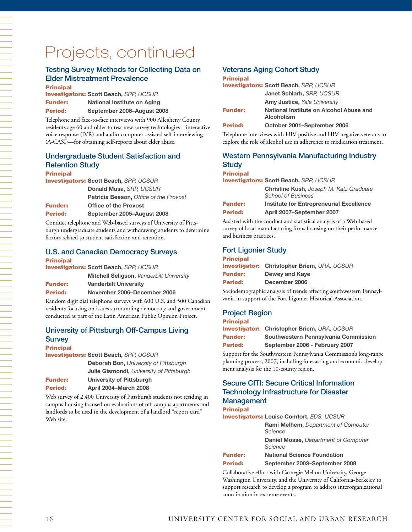# Projects, continued

#### Testing Survey Methods for Collecting Data on Elder Mistreatment Prevalence

Principal

Investigators: **Scott Beach,** *SRP, UCSUR* Funder: **National Institute on Aging** Period: **September 2006–August 2008**

Telephone and face-to-face interviews with 900 Allegheny County residents age 60 and older to test new survey technologies—interactive voice response (IVR) and audio-computer-assisted self-interviewing (A-CASI)—for obtaining self-reports about elder abuse.

#### Undergraduate Student Satisfaction and Retention Study Principal

Investigators: **Scott Beach,** *SRP, UCSUR* **Donald Musa,** *SRP, UCSUR* **Patricia Beeson,** *Office of the Provost* Funder: **Office of the Provost** Period: **September 2005–August 2008**

Conduct telephone and Web-based surveys of University of Pittsburgh undergraduate students and withdrawing students to determine factors related to student satisfaction and retention.

## U.S. and Canadian Democracy Surveys

| <b>Principal</b> |                                               |
|------------------|-----------------------------------------------|
|                  | <b>Investigators: Scott Beach, SRP, UCSUR</b> |
|                  | Mitchell Seligson, Vanderbilt University      |
| <b>Funder:</b>   | <b>Vanderbilt University</b>                  |
| Period:          | November 2006–December 2006                   |

Random digit dial telephone surveys with 600 U.S. and 500 Canadian residents focusing on issues surrounding democracy and government conducted as part of the Latin American Public Opinion Project.

#### University of Pittsburgh Off-Campus Living **Survey**

#### **Principal**

Investigators: **Scott Beach,** *SRP, UCSUR*

| <b>Deborah Bon.</b> University of Pittsburgh |
|----------------------------------------------|
| Julie Gismondi, University of Pittsburgh     |
|                                              |

| <b>Funder:</b> | University of Pittsburgh     |
|----------------|------------------------------|
| Period:        | <b>April 2004–March 2008</b> |

Web survey of 2,400 University of Pittsburgh students not residing in campus housing focused on evaluations of off-campus apartments and landlords to be used in the development of a landlord "report card" Web site.

#### Veterans Aging Cohort Study

#### **Principal**

| <b>Investigators: Scott Beach, SRP, UCSUR</b> |                                                              |  |
|-----------------------------------------------|--------------------------------------------------------------|--|
|                                               | Janet Schlarb, SRP, UCSUR                                    |  |
|                                               | <b>Amy Justice, Yale University</b>                          |  |
| <b>Funder:</b>                                | National Institute on Alcohol Abuse and<br><b>Alcoholism</b> |  |
| <b>Period:</b>                                | October 2001–September 2006                                  |  |

Telephone interviews with HIV-positive and HIV-negative veterans to explore the role of alcohol use in adherence to medication treatment.

#### Western Pennsylvania Manufacturing Industry **Study**

#### Principal

Investigators: **Scott Beach,** *SRP, UCSUR*

|                | <b>Christine Kush, Joseph M. Katz Graduate</b><br><b>School of Business</b> |
|----------------|-----------------------------------------------------------------------------|
| <b>Funder:</b> | Institute for Entrepreneurial Excellence                                    |
| <b>Period:</b> | April 2007-September 2007                                                   |

Assisted with the conduct and statistical analysis of a Web-based survey of local manufacturing firms focusing on their performance and business practices.

#### Fort Ligonier Study

| <b>Principal</b> |                                                    |
|------------------|----------------------------------------------------|
|                  | <b>Investigator: Christopher Briem, URA, UCSUR</b> |
| <b>Funder:</b>   | <b>Dewey and Kave</b>                              |
| Period:          | December 2006                                      |
|                  | .                                                  |

Sociodemographic analysis of trends affecting southwestern Pennsylvania in support of the Fort Ligonier Historical Association.

#### Project Region

| <b>Principal</b> |
|------------------|

|         | <b>Investigator:</b> Christopher Briem, URA, UCSUR |
|---------|----------------------------------------------------|
| Funder: | Southwestern Pennsylvania Commission               |
| Period: | September 2006 - February 2007                     |
|         |                                                    |

Support for the Southwestern Pennsylvania Commission's long-range planning process, 2007, including forecasting and economic development analysis for the 10-county region.

#### Secure CITI: Secure Critical Information Technology Infrastructure for Disaster Management

#### **Principal**

Investigators: **Louise Comfort,** *EDS, UCSUR*

**Rami Melhem,** *Department of Computer Science* **Daniel Mosse,** *Department of Computer Science*

#### Funder: **National Science Foundation**

#### Period: **September 2003–September 2008**

Collaborative effort with Carnegie Mellon University, George Washington University, and the University of California-Berkeley to support research to develop a program to address interorganizational coordination in extreme events.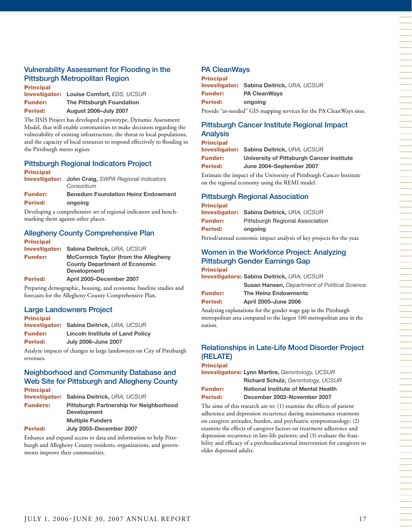#### Vulnerability Assessment for Flooding in the Pittsburgh Metropolitan Region Principal

| Principal      |                                                 |
|----------------|-------------------------------------------------|
|                | <b>Investigator: Louise Comfort, EDS, UCSUR</b> |
| <b>Funder:</b> | <b>The Pittsburgh Foundation</b>                |
| <b>Period:</b> | <b>August 2006-July 2007</b>                    |

The IISIS Project has developed a prototype, Dynamic Assessment Model, that will enable communities to make decisions regarding the vulnerability of existing infrastructure, the threat to local populations, and the capacity of local resources to respond effectively to flooding in the Pittsburgh metro region.

#### Pittsburgh Regional Indicators Project

| <b>Principal</b> |                                                           |
|------------------|-----------------------------------------------------------|
|                  | <b>Investigator:</b> John Craig, SWPA Regional Indicators |
|                  | Consortium                                                |
| <b>Funder:</b>   | <b>Benedum Foundation Heinz Endowment</b>                 |
| <b>Period:</b>   | ongoing                                                   |

Developing a comprehensive set of regional indicators and benchmarking them against other places.

#### Allegheny County Comprehensive Plan **Principal**

| ------------   |                                                  |
|----------------|--------------------------------------------------|
|                | <b>Investigator: Sabina Deitrick, URA, UCSUR</b> |
| <b>Funder:</b> | <b>McCormick Taylor (from the Allegheny</b>      |
|                | <b>County Department of Economic</b>             |
|                | Development)                                     |
| <b>Period:</b> | April 2005-December 2007                         |

Preparing demographic, housing, and economic baseline studies and forecasts for the Allegheny County Comprehensive Plan.

#### Large Landowners Project

| <b>Principal</b> |                                                  |
|------------------|--------------------------------------------------|
|                  | <b>Investigator: Sabina Deitrick, URA, UCSUR</b> |
| <b>Funder:</b>   | <b>Lincoln Institute of Land Policy</b>          |
| <b>Period:</b>   | <b>July 2006-June 2007</b>                       |

Analyze impacts of changes in large landowners on City of Pittsburgh revenues.

#### Neighborhood and Community Database and Web Site for Pittsburgh and Allegheny County Principal

| FHIVIVAI        |                                                                      |
|-----------------|----------------------------------------------------------------------|
|                 | <b>Investigator: Sabina Deitrick, URA, UCSUR</b>                     |
| <b>Funders:</b> | <b>Pittsburgh Partnership for Neighborhood</b><br><b>Development</b> |
|                 | <b>Multiple Funders</b>                                              |
| <b>Period:</b>  | July 2003-December 2007                                              |

Enhance and expand access to data and information to help Pittsburgh and Allegheny County residents, organizations, and governments improve their communities.

#### PA CleanWays

| <b>Principal</b> |                                                                      |
|------------------|----------------------------------------------------------------------|
|                  | <b>Investigator: Sabina Deitrick, URA, UCSUR</b>                     |
| Funder:          | <b>PA CleanWavs</b>                                                  |
| Period:          | ongoing                                                              |
|                  | Provide "as-needed" GIS mapping services for the PA CleanWays sites. |

## Pittsburgh Cancer Institute Regional Impact

#### Analysis **Principal**

| <b>Investigator: Sabina Deitrick, URA, UCSUR</b> |
|--------------------------------------------------|
| University of Pittsburgh Cancer Institute        |
| June 2004-September 2007                         |
|                                                  |

Estimate the impact of the University of Pittsburgh Cancer Institute on the regional economy using the REMI model.

#### Pittsburgh Regional Association

#### **Principal** Investigator: **Sabina Deitrick,** *URA, UCSUR* **Funder:** Pittsburgh Regional Association Period: **ongoing**

Period/annual economic impact analysis of key projects for the year.

#### Women in the Workforce Project: Analyzing Pittsburgh Gender Earnings Gap Principal

Investigators: **Sabina Deitrick,** *URA, UCSUR*

|         | <b>Susan Hansen, Department of Political Science</b> |
|---------|------------------------------------------------------|
| Funder: | The Heinz Endowments                                 |

Period: **April 2005–June 2006** 

Analyzing explanations for the gender wage gap in the Pittsburgh metropolitan area compared to the largest 100 metropolitan area in the nation.

### Relationships in Late-Life Mood Disorder Project (RELATE)

#### **Principal**

Investigators: **Lynn Martire,** *Gerontology, UCSUR*

| × | M.<br>۰. |
|---|----------|

**Richard Schulz,** *Gerontology, UCSUR* **National Institute of Mental Health** Period: **December 2002–November 2007**

The aims of this research are to: (1) examine the effects of patient adherence and depression recurrence during maintenance treatment on caregiver attitudes, burden, and psychiatric symptomatology; (2) examine the effects of caregiver factors on treatment adherence and depression recurrence in late-life patients; and (3) evaluate the feasibility and efficacy of a psychoeducational intervention for caregivers to older depressed adults.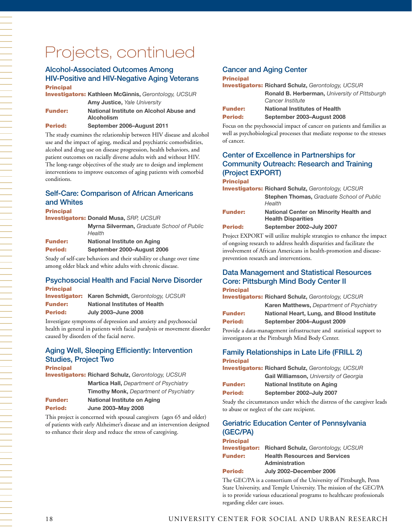## Projects, continued

#### Alcohol-Associated Outcomes Among HIV-Positive and HIV-Negative Aging Veterans Principal

Investigators: **Kathleen McGinnis,** *Gerontology, UCSUR* **Amy Justice,** *Yale University* Funder: **National Institute on Alcohol Abuse and Alcoholism**

Period: **September 2006–August 2011**

The study examines the relationship between HIV disease and alcohol use and the impact of aging, medical and psychiatric comorbidities, alcohol and drug use on disease progression, health behaviors, and patient outcomes on racially diverse adults with and without HIV. The long-range objectives of the study are to design and implement interventions to improve outcomes of aging patients with comorbid conditions.

#### Self-Care: Comparison of African Americans and Whites

#### **Principal**

| <b>Investigators: Donald Musa, SRP, UCSUR</b> |                                                             |
|-----------------------------------------------|-------------------------------------------------------------|
|                                               | <b>Myrna Silverman.</b> Graduate School of Public<br>Health |
| <b>Funder:</b>                                | National Institute on Aging                                 |
| <b>Period:</b>                                | September 2000-August 2006                                  |

Study of self-care behaviors and their stability or change over time among older black and white adults with chronic disease.

#### Psychosocial Health and Facial Nerve Disorder Principal

|                | <b>Investigator: Karen Schmidt, Gerontology, UCSUR</b> |
|----------------|--------------------------------------------------------|
| <b>Funder:</b> | <b>National Institutes of Health</b>                   |
| <b>Period:</b> | <b>July 2003-June 2008</b>                             |

Investigate symptoms of depression and anxiety and psychosocial health in general in patients with facial paralysis or movement disorder caused by disorders of the facial nerve.

#### Aging Well, Sleeping Efficiently: Intervention Studies, Project Two

| <b>Principal</b> |                                                          |
|------------------|----------------------------------------------------------|
|                  | <b>Investigators: Richard Schulz, Gerontology, UCSUR</b> |
|                  | <b>Martica Hall, Department of Psychiatry</b>            |
|                  | <b>Timothy Monk, Department of Psychiatry</b>            |
| <b>Funder:</b>   | National Institute on Aging                              |
| Period:          | <b>June 2003-May 2008</b>                                |

This project is concerned with spousal caregivers (ages 65 and older) of patients with early Alzheimer's disease and an intervention designed to enhance their sleep and reduce the stress of caregiving.

#### Cancer and Aging Center

#### **Principal**

|                | <b>Investigators: Richard Schulz, Gerontology, UCSUR</b> |  |
|----------------|----------------------------------------------------------|--|
|                | <b>Ronald B. Herberman, University of Pittsburgh</b>     |  |
|                | Cancer Institute                                         |  |
| <b>Funder:</b> | <b>National Institutes of Health</b>                     |  |
| <b>Period:</b> | September 2003-August 2008                               |  |

Focus on the psychosocial impact of cancer on patients and families as well as psychobiological processes that mediate response to the stresses of cancer.

#### Center of Excellence in Partnerships for Community Outreach: Research and Training (Project EXPORT)

#### Principal

|                | <b>Investigators: Richard Schulz, Gerontology, UCSUR</b>                   |
|----------------|----------------------------------------------------------------------------|
|                | <b>Stephen Thomas, Graduate School of Public</b><br>Health                 |
| <b>Funder:</b> | <b>National Center on Minority Health and</b><br><b>Health Disparities</b> |
| Period:        | September 2002-July 2007                                                   |
|                |                                                                            |

Project EXPORT will utilize multiple strategies to enhance the impact of ongoing research to address health disparities and facilitate the involvement of African Americans in health-promotion and diseaseprevention research and interventions.

#### Data Management and Statistical Resources Core: Pittsburgh Mind Body Center II

#### Principal

|          | <b>Investigators: Richard Schulz, Gerontology, UCSUR</b><br><b>Karen Matthews, Department of Psychiatry</b> |
|----------|-------------------------------------------------------------------------------------------------------------|
| Eurodovu | Notional Hoart Lung, and Place Institute                                                                    |

| <b>Funder:</b> | National Heart, Lung, and Blood Institute |
|----------------|-------------------------------------------|
| Period:        | September 2004-August 2009                |

Provide a data-management infrastructure and statistical support to investigators at the Pittsburgh Mind Body Center.

#### Family Relationships in Late Life (FRILL 2) **Principal**

| <b>Investigators: Richard Schulz, Gerontology, UCSUR</b> |  |
|----------------------------------------------------------|--|
| Gail Williamson, University of Georgia                   |  |

|         | Gall Williamson, <i>University</i> C |
|---------|--------------------------------------|
| Funder: | National Institute on Aging          |

|         |                          | ___ |
|---------|--------------------------|-----|
| Period: | September 2002-July 2007 |     |

Study the circumstances under which the distress of the caregiver leads to abuse or neglect of the care recipient.

#### Geriatric Education Center of Pennsylvania (GEC/PA) **Principal**

| -------------  |                                                               |  |
|----------------|---------------------------------------------------------------|--|
|                | <b>Investigator:</b> Richard Schulz, Gerontology, UCSUR       |  |
| <b>Funder:</b> | <b>Health Resources and Services</b><br><b>Administration</b> |  |

#### Period: **July 2002–December 2006**

The GEC/PA is a consortium of the University of Pittsburgh, Penn State University, and Temple University. The mission of the GEC/PA is to provide various educational programs to healthcare professionals regarding elder care issues.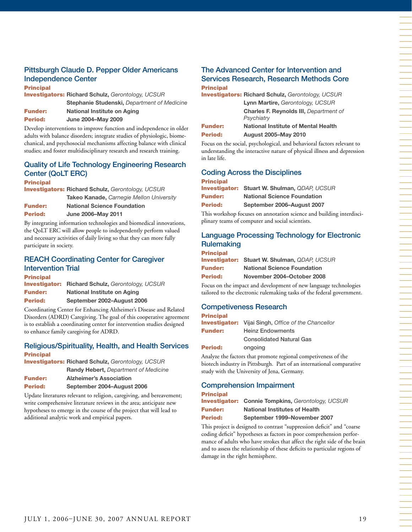### Pittsburgh Claude D. Pepper Older Americans Independence Center

**Principal** 

Investigators: **Richard Schulz,** *Gerontology, UCSUR* **Stephanie Studenski,** *Department of Medicine* Funder: **National Institute on Aging**

Period: **June 2004–May 2009**

Develop interventions to improve function and independence in older adults with balance disorders; integrate studies of physiologic, biomechanical, and psychosocial mechanisms affecting balance with clinical studies; and foster multidisciplinary research and research training.

## Quality of Life Technology Engineering Research Center (QoLT ERC)

#### **Principal**

Investigators: **Richard Schulz,** *Gerontology, UCSUR* **Takeo Kanade,** *Carnegie Mellon University*

| <b>Funder:</b> | <b>National Science Foundation</b> |
|----------------|------------------------------------|
| <b>Period:</b> | <b>June 2006-May 2011</b>          |

By integrating information technologies and biomedical innovations, the QoLT ERC will allow people to independently perform valued and necessary activities of daily living so that they can more fully participate in society.

#### REACH Coordinating Center for Caregiver Intervention Trial

| <b>Principal</b>     |                                    |
|----------------------|------------------------------------|
| <b>Investigator:</b> | Richard Schulz, Gerontology, UCSUR |
| <b>Funder:</b>       | National Institute on Aging        |
| Period:              | September 2002-August 2006         |

Coordinating Center for Enhancing Alzheimer's Disease and Related Disorders (ADRD) Caregiving. The goal of this cooperative agreement is to establish a coordinating center for intervention studies designed to enhance family caregiving for ADRD.

#### Religious/Spirituality, Health, and Health Services Principal

Investigators: **Richard Schulz,** *Gerontology, UCSUR* **Randy Hebert,** *Department of Medicine*

| <b>Funder:</b> | <b>Alzheimer's Association</b> |  |
|----------------|--------------------------------|--|
|                |                                |  |

| <b>Period:</b> | September 2004-August 2006 |
|----------------|----------------------------|
|----------------|----------------------------|

Update literatures relevant to religion, caregiving, and bereavement; write comprehensive literature reviews in the area; anticipate new hypotheses to emerge in the course of the project that will lead to additional analytic work and empirical papers.

#### The Advanced Center for Intervention and Services Research, Research Methods Core **Principal**

|                | <b>Investigators: Richard Schulz, Gerontology, UCSUR</b> |
|----------------|----------------------------------------------------------|
|                | Lynn Martire, Gerontology, UCSUR                         |
|                | <b>Charles F. Reynolds III, Department of</b>            |
|                | Psychiatry                                               |
| <b>Funder:</b> | National Institute of Mental Health                      |
| <b>Period:</b> | <b>August 2005-May 2010</b>                              |

Focus on the social, psychological, and behavioral factors relevant to understanding the interactive nature of physical illness and depression in late life.

#### Coding Across the Disciplines **Principal**

|                | <b>Investigator: Stuart W. Shulman, QDAP, UCSUR</b> |  |
|----------------|-----------------------------------------------------|--|
| <b>Funder:</b> | <b>National Science Foundation</b>                  |  |
| <b>Period:</b> | September 2006-August 2007                          |  |

This workshop focuses on annotation science and building interdisciplinary teams of computer and social scientists.

#### Language Processing Technology for Electronic **Rulemaking** Principal

| Principal      |                                                     |
|----------------|-----------------------------------------------------|
|                | <b>Investigator: Stuart W. Shulman, QDAP, UCSUR</b> |
| <b>Funder:</b> | <b>National Science Foundation</b>                  |
| <b>Period:</b> | November 2004-October 2008                          |

Focus on the impact and development of new language technologies tailored to the electronic rulemaking tasks of the federal government.

#### Competiveness Research

| <b>Principal</b>                                           |                                 |  |
|------------------------------------------------------------|---------------------------------|--|
| <b>Investigator:</b> Vijai Singh, Office of the Chancellor |                                 |  |
| <b>Funder:</b>                                             | <b>Heinz Endowments</b>         |  |
|                                                            | <b>Consolidated Natural Gas</b> |  |
| <b>Period:</b>                                             | ongoing                         |  |
|                                                            |                                 |  |

Analyze the factors that promote regional competiveness of the biotech industry in Pittsburgh. Part of an international comparative study with the University of Jena, Germany.

#### Comprehension Impairment

| <b>Principal</b> |                                                          |  |
|------------------|----------------------------------------------------------|--|
|                  | <b>Investigator: Connie Tompkins, Gerontology, UCSUR</b> |  |
| <b>Funder:</b>   | <b>National Institutes of Health</b>                     |  |
| <b>Period:</b>   | September 1999-November 2007                             |  |

This project is designed to contrast "suppression deficit" and "coarse coding deficit" hypotheses as factors in poor comprehension performance of adults who have strokes that affect the right side of the brain and to assess the relationship of these deficits to particular regions of damage in the right hemisphere.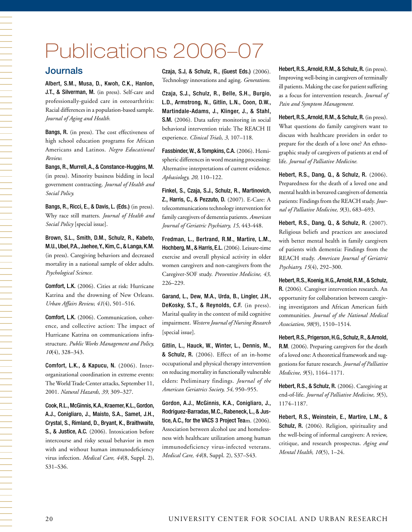# Publications 2006–07

#### Journals

Albert, S.M., Musa, D., Kwoh, C.K., Hanlon, J.T., & Silverman, M. (in press). Self-care and professionally-guided care in osteoarthritis: Racial differences in a population-based sample. *Journal of Aging and Health.*

Bangs, R. (in press). The cost effectiveness of high school education programs for African Americans and Latinos. *Negro Educational Review.*

Bangs, R., Murrell, A., & Constance-Huggins, M. (in press). Minority business bidding in local government contracting. *Journal of Health and Social Policy.*

Bangs, R., Ricci, E., & Davis, L. (Eds.) (in press). Why race still matters. *Journal of Health and Social Policy* [special issue].

Brown, S.L., Smith, D.M., Schulz, R., Kabeto, M.U., Ubel, P.A., Jaehee, Y., Kim, C., & Langa, K.M. (in press). Caregiving behaviors and decreased mortality in a national sample of older adults. *Psychological Science.* 

Comfort, L.K. (2006). Cities at risk: Hurricane Katrina and the drowning of New Orleans. *Urban Affairs Review, 41*(4), 501–516.

Comfort, L.K. (2006). Communication, coherence, and collective action: The impact of Hurricane Katrina on communications infrastructure. *Public Works Management and Policy, 10*(4), 328–343.

Comfort, L.K., & Kapucu, N. (2006). Interorganizational coordination in extreme events: The World Trade Center attacks, September 11, 2001. *Natural Hazards, 39,* 309–327.

Cook, R.L., McGinnis, K.A., Kraemer, K.L., Gordon, A.J., Conigliaro, J., Maisto, S.A., Samet, J.H., Crystal, S., Rimland, D., Bryant, K., Braithwaite, S., & Justice, A.C. (2006). Intoxication before intercourse and risky sexual behavior in men with and without human immunodeficiency virus infection. *Medical Care, 44*(8, Suppl. 2), S31–S36.

Czaja, S.J, & Schulz, R., (Guest Eds.) (2006). Technology innovations and aging. *Generations.*

Czaja, S.J., Schulz, R., Belle, S.H., Burgio, L.D., Armstrong, N., Gitlin, L.N., Coon, D.W., Martindale-Adams, J., Klinger, J., & Stahl, S.M. (2006). Data safety monitoring in social behavioral intervention trials: The REACH II experience. *Clinical Trials, 3,* 107–118.

Fassbinder, W., & Tompkins, C.A. (2006). Hemispheric differences in word meaning processing: Alternative interpretations of current evidence. *Aphasiology, 20,* 110–122.

Finkel, S., Czaja, S.J., Schulz, R., Martinovich, Z., Harris, C., & Pezzuto, D. (2007). E-Care: A telecommunications technology intervention for family caregivers of dementia patients. *American Journal of Geriatric Psychiatry, 15,* 443-448.

Fredman, L., Bertrand, R.M., Martire, L.M., Hochberg, M., & Harris, E.L. (2006). Leisure-time exercise and overall physical activity in older women caregivers and non-caregivers from the Caregiver-SOF study. *Preventive Medicine, 43,*  226–229.

Garand, L., Dew, M.A., Urda, B., Lingler, J.H., DeKosky, S.T., & Reynolds, C.F. (in press). Marital quality in the context of mild cognitive impairment. *Western Journal of Nursing Research* [special issue].

Gitlin, L., Hauck, W., Winter, L., Dennis, M., & Schulz, R. (2006). Effect of an in-home occupational and physical therapy intervention on reducing mortality in functionally vulnerable elders: Preliminary findings. *Journal of the American Geriatrics Society, 54,* 950–955.

Gordon, A.J., McGinnis, K.A., Conigliaro, J., Rodriguez-Barradas, M.C., Rabeneck, L., & Justice, A.C., for the VACS 3 Project Team. (2006). Association between alcohol use and homelessness with healthcare utilization among human immunodeficiency virus-infected veterans. *Medical Care, 44*(8, Suppl. 2), S37–S43.

Hebert, R.S., Arnold, R.M., & Schulz, R. (in press). Improving well-being in caregivers of terminally ill patients. Making the case for patient suffering as a focus for intervention research. *Journal of Pain and Symptom Management.*

Hebert, R.S., Arnold, R.M., & Schulz, R. (in press). What questions do family caregivers want to discuss with healthcare providers in order to prepare for the death of a love one? An ethnographic study of caregivers of patients at end of life. *Journal of Palliative Medicine.*

Hebert, R.S., Dang, Q., & Schulz, R. (2006). Preparedness for the death of a loved one and mental health in bereaved caregivers of dementia patients: Findings from the REACH study.*Journal of Palliative Medicine, 9*(3), 683–693.

Hebert, R.S., Dang, Q., & Schulz, R. (2007). Religious beliefs and practices are associated with better mental health in family caregivers of patients with dementia: Findings from the REACH study. *American Journal of Geriatric Psychiatry, 15*(4), 292–300.

Hebert, R.S., Koenig, H.G., Arnold, R.M., & Schulz, R. (2006). Caregiver intervention research. An opportunity for collaboration between caregiving investigators and African American faith communities. *Journal of the National Medical Association, 98*(9), 1510–1514.

Hebert, R.S., Prigerson, H.G., Schulz, R., & Arnold, R.M. (2006). Preparing caregivers for the death of a loved one: A theoretical framework and suggestions for future research. *Journal of Palliative Medicine, 9*(5), 1164–1171.

Hebert, R.S., & Schulz, R. (2006). Caregiving at end-of-life. *Journal of Palliative Medicine, 9*(5), 1174–1187.

Hebert, R.S., Weinstein, E., Martire, L.M., & Schulz, R. (2006). Religion, spirituality and the well-being of informal caregivers: A review, critique, and research prospectus. *Aging and Mental Health, 10*(5), 1–24.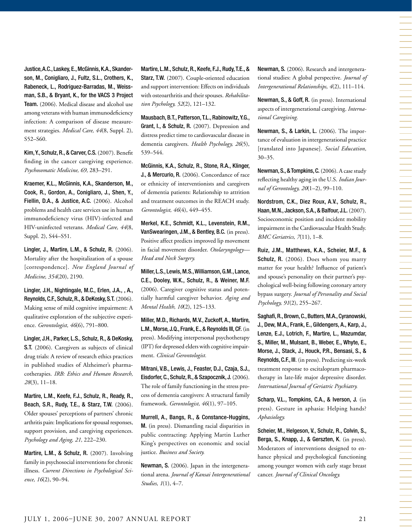Justice, A.C., Laskey, E., McGinnis, K.A., Skanderson, M., Conigliaro, J., Fultz, S.L., Crothers, K., Rabeneck, L., Rodriguez-Barradas, M., Weissman, S.B., & Bryant, K., for the VACS 3 Project Team. (2006). Medical disease and alcohol use among veterans with human immunodeficiency infection: A comparison of disease measurement strategies. *Medical Care, 44*(8, Suppl. 2), S52–S60.

Kim, Y., Schulz, R., & Carver, C.S. (2007). Benefit finding in the cancer caregiving experience. *Psychosomatic Medicine, 69,* 283–291.

Kraemer, K.L., McGinnis, K.A., Skanderson, M., Cook, R., Gordon, A., Conigliaro, J., Shen, Y., Fiellin, D.A., & Justice, A.C. (2006). Alcohol problems and health care services use in human immunodeficiency virus (HIV)-infected and HIV-uninfected veterans. *Medical Care, 44*(8, Suppl. 2), S44–S51.

Lingler, J., Martire, L.M., & Schulz, R. (2006). Mortality after the hospitalization of a spouse [correspondence]. *New England Journal of Medicine, 354*(20), 2190.

Lingler, J.H., Nightingale, M.C., Erlen, J.A., , A., Reynolds, C.F., Schulz, R., & DeKosky, S.T. (2006). Making sense of mild cognitive impairment: A qualitative exploration of the subjective experience. *Gerontologist, 46*(6), 791–800.

Lingler, J.H., Parker, L.S., Schulz, R., & DeKosky, S.T. (2006). Caregivers as subjects of clinical drug trials: A review of research ethics practices in published studies of Alzheimer's pharmacotherapies. *IRB: Ethics and Human Research, 28*(3), 11–18.

Martire, L.M., Keefe, F.J., Schulz, R., Ready, R., Beach, S.R., Rudy, T.E., & Starz, T.W. (2006). Older spouses' perceptions of partners' chronic arthritis pain: Implications for spousal responses, support provision, and caregiving experiences. *Psychology and Aging, 21,* 222–230.

Martire, L.M., & Schulz, R. (2007). Involving family in psychosocial interventions for chronic illness. *Current Directions in Psychological Science, 16*(2), 90–94.

Martire, L.M., Schulz, R., Keefe, F.J., Rudy, T.E., & Starz, T.W. (2007). Couple-oriented education and support intervention: Effects on individuals with osteoarthritis and their spouses. *Rehabilitation Psychology, 52*(2), 121–132.

Mausbach, B.T., Patterson, T.L., Rabinowitz, Y.G., Grant, I., & Schulz, R. (2007). Depression and distress predict time to cardiovascular disease in dementia caregivers. *Health Psychology, 26*(5), 539–544.

McGinnis, K.A., Schulz, R., Stone, R.A., Klinger, J., & Mercurio, R. (2006). Concordance of race or ethnicity of interventionists and caregivers of dementia patients: Relationship to attrition and treatment outcomes in the REACH study. *Gerontologist, 46*(4), 449–455.

Merkel, K.E., Schmidt, K.L., Levenstein, R.M., VanSwearingen, J.M., & Bentley, B.C. (in press). Positive affect predicts improved lip movement in facial movement disorder. *Otolaryngology— Head and Neck Surgery.*

Miller, L.S., Lewis, M.S., Williamson, G.M., Lance, C.E., Dooley, W.K., Schulz, R., & Weiner, M.F. (2006). Caregiver cognitive status and potentially harmful caregiver behavior. *Aging and Mental Health, 10*(2), 125–133.

Miller, M.D., Richards, M.V., Zuckoff, A., Martire, L.M., Morse, J.Q., Frank, E., & Reynolds III, CF. (in press). Modifying interpersonal psychotherapy (IPT) for depressed elders with cognitive impairment. *Clinical Gerontologist.*

Mitrani, V.B., Lewis, J., Feaster, D.J., Czaja, S.J., Eisdorfer, C., Schulz, R., & Szapocznik, J. (2006). The role of family functioning in the stress process of dementia caregivers: A structural family framework. *Gerontologist, 46*(1), 97–105.

Murrell, A., Bangs, R., & Constance-Huggins, M. (in press). Dismantling racial disparities in public contracting: Applying Martin Luther King's perspectives on economic and social justice. *Business and Society.*

Newman, S. (2006). Japan in the intergenerational arena. *Journal of Kansai Intergenerational Studies, 1*(1), 4–7.

Newman, S. (2006). Research and intergenerational studies: A global perspective. *Journal of Intergenerational Relationships, 4*(2), 111–114.

Newman, S., & Goff, R. (in press). International aspects of intergenerational caregiving. *International Caregiving.* 

Newman, S., & Larkin, L. (2006). The importance of evaluation in intergenerational practice [translated into Japanese]. *Social Education,*  30–35.

Newman, S., & Tompkins, C. (2006). A case study reflecting healthy aging in the U.S. *Indian Journal of Gerontology, 20*(1–2), 99–110.

Nordstrom, C.K., Diez Roux, A.V., Schulz, R., Haan, M.N., Jackson, S.A., & Balfour, J.L. (2007). Socioeconomic position and incident mobility impairment in the Cardiovascular Health Study. *BMC Geriatrics, 7*(11), 1–8.

Ruiz, J.M., Matthews, K.A., Scheier, M.F., & Schulz, R. (2006). Does whom you marry matter for your health? Influence of patient's and spouse's personality on their partner's psychological well-being following coronary artery bypass surgery. *Journal of Personality and Social Psychology, 91*(2), 255–267.

Saghafi, R., Brown, C., Butters, M.A., Cyranowski, J., Dew, M.A., Frank, E., Gildengers, A., Karp, J., Lenze, E.J., Lotrich, F., Martire, L., Mazumdar, S., Miller, M., Mulsant, B., Weber, E., Whyte, E., Morse, J., Stack, J., Houck, P.R., Bensasi, S., & Reynolds, C.F., III. (in press). Predicting six-week treatment response to escitalopram pharmacotherapy in late-life major depressive disorder. *International Journal of Geriatric Psychiatry.*

Scharp, V.L., Tompkins, C.A., & Iverson, J. (in press). Gesture in aphasia: Helping hands? *Aphasiology.* 

Scheier, M., Helgeson, V., Schulz, R., Colvin, S., Berga, S., Knapp, J., & Gerszten, K. (in press). Moderators of interventions designed to enhance physical and psychological functioning among younger women with early stage breast cancer. *Journal of Clinical Oncology.*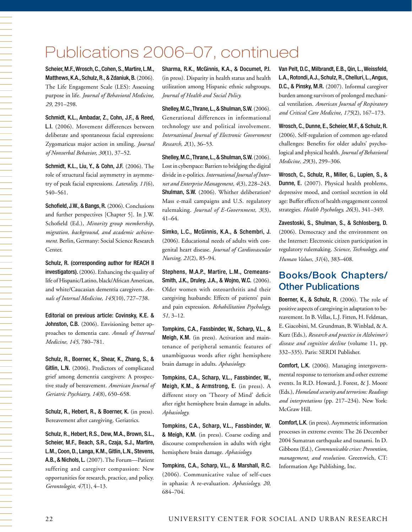## Publications 2006–07, continued

Scheier, M.F., Wrosch, C., Cohen, S., Martire, L.M., Matthews, K.A., Schulz, R., & Zdaniuk, B. (2006). The Life Engagement Scale (LES): Assessing purpose in life. *Journal of Behavioral Medicine, 29,* 291–298.

Schmidt, K.L., Ambadar, Z., Cohn, J.F., & Reed, L.I. (2006). Movement differences between deliberate and spontaneous facial expressions: Zygomaticus major action in smiling. *Journal of Nonverbal Behavior, 30*(1), 37–52.

Schmidt, K.L., Liu, Y., & Cohn, J.F. (2006). The role of structural facial asymmetry in asymmetry of peak facial expressions. *Laterality, 11*(6), 540–561.

Schofield, J.W., & Bangs, R. (2006). Conclusions and further perspectives [Chapter 5]. In J.W. Schofield (Ed.), *Minority group membership, migration, background, and academic achievement.* Berlin, Germany: Social Science Research Center.

Schulz, R. (corresponding author for REACH II investigators). (2006). Enhancing the quality of life of Hispanic/Latino, black/African American, and white/Caucasian dementia caregivers. *Annals of Internal Medicine, 145*(10), 727–738.

Editorial on previous article: Covinsky, K.E. & Johnston, C.B. (2006). Envisioning better approaches to dementia care. *Annals of Internal Medicine, 145,* 780–781.

Schulz, R., Boerner, K., Shear, K., Zhang, S., & Gitlin, L.N. (2006). Predictors of complicated grief among dementia caregivers: A prospective study of bereavement. *American Journal of Geriatric Psychiatry, 14*(8), 650–658.

Schulz, R., Hebert, R., & Boerner, K. (in press). Bereavement after caregiving. Geriatrics.

Schulz, R., Hebert, R.S., Dew, M.A., Brown, S.L., Scheier, M.F., Beach, S.R., Czaja, S.J., Martire, L.M., Coon, D., Langa, K.M., Gitlin, L.N., Stevens, A.B., & Nichols, L. (2007). The Forum—Patient suffering and caregiver compassion: New opportunities for research, practice, and policy. *Gerontologist, 47*(1), 4–13.

Sharma, R.K., McGinnis, K.A., & Documet, P.I. (in press). Disparity in health status and health utilization among Hispanic ethnic subgroups. *Journal of Health and Social Policy.* 

Shelley, M.C., Thrane, L., & Shulman, S.W. (2006). Generational differences in informational technology use and political involvement. *International Journal of Electronic Government Research, 2*(1), 36–53.

Shelley, M.C., Thrane, L., & Shulman, S.W. (2006). Lost in cyberspace: Barriers to bridging the digital divide in e-politics. *International Journal of Internet and Enterprise Management, 4*(3), 228–243. Shulman, S.W. (2006). Whither deliberation? Mass e-mail campaigns and U.S. regulatory rulemaking. *Journal of E-Government, 3*(3), 41–64.

Simko, L.C., McGinnis, K.A., & Schembri, J. (2006). Educational needs of adults with congenital heart disease. *Journal of Cardiovascular Nursing, 21*(2), 85–94.

Stephens, M.A.P., Martire, L.M., Cremeans-Smith, J.K., Druley, J.A., & Wojno, W.C. (2006). Older women with osteoarthritis and their caregiving husbands: Effects of patients' pain and pain expression. *Rehabilitation Psychology, 51,* 3–12.

Tompkins, C.A., Fassbinder, W., Scharp, V.L., & Meigh, K.M. (in press). Activation and maintenance of peripheral semantic features of unambiguous words after right hemisphere brain damage in adults. *Aphasiology.*

Tompkins, C.A., Scharp, V.L., Fassbinder, W., Meigh, K.M., & Armstrong, E. (in press). A different story on 'Theory of Mind' deficit after right hemisphere brain damage in adults. *Aphasiology.*

Tompkins, C.A., Scharp, V.L., Fassbinder, W. & Meigh, K.M. (in press). Coarse coding and discourse comprehension in adults with right hemisphere brain damage. *Aphasiology.*

Tompkins, C.A., Scharp, V.L., & Marshall, R.C. (2006). Communicative value of self-cues in aphasia: A re-evaluation. *Aphasiology, 20,*  684–704.

Van Pelt, D.C., Milbrandt, E.B., Qin, L., Weissfeld, L.A., Rotondi, A.J., Schulz, R., Chelluri, L., Angus, D.C., & Pinsky, M.R. (2007). Informal caregiver burden among survivors of prolonged mechanical ventilation. *American Journal of Respiratory and Critical Care Medicine, 175*(2), 167–173.

Wrosch, C., Dunne, E., Scheier, M.F., & Schulz, R. (2006). Self-regulation of common age-related challenges: Benefits for older adults' psychological and physical health. *Journal of Behavioral Medicine, 29*(3), 299–306.

Wrosch, C., Schulz, R., Miller, G., Lupien, S., & Dunne, E. (2007). Physical health problems, depressive mood, and cortisol secretion in old age: Buffer effects of health engagement control strategies. *Health Psychology, 26*(3), 341–349.

Zavestoski, S., Shulman, S., & Schlosberg, D. (2006). Democracy and the environment on the Internet: Electronic citizen participation in regulatory rulemaking. *Science, Technology, and Human Values, 31*(4), 383–408.

## Books/Book Chapters/ Other Publications

Boerner, K., & Schulz, R. (2006). The role of positive aspects of caregiving in adaptation to bereavement. In B.Vellas, L.J. Fitten, H. Feldman, E. Giacobini, M. Grundman, B. Winblad, & A. Kurz (Eds.), *Research and practice in Alzheimer's disease and cognitive decline* (volume 11, pp. 332–335). Paris: SERDI Publisher.

Comfort, L.K. (2006). Managing intergovernmental response to terrorism and other extreme events. In R.D. Howard, J. Forest, & J. Moore (Eds.), *Homeland security and terrorism: Readings and interpretations* (pp. 217–234). New York: McGraw Hill.

Comfort, L.K. (in press). Asymmetric information processes in extreme events: The 26 December 2004 Sumatran earthquake and tsunami. In D. Gibbons (Ed.), *Communicable crises: Prevention, management, and resolution.* Greenwich, CT: Information Age Publishing, Inc.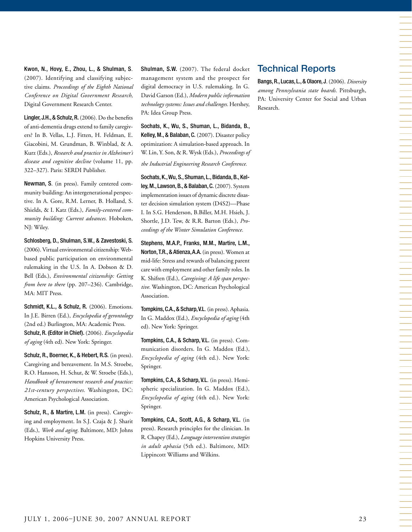Kwon, N., Hovy, E., Zhou, L., & Shulman, S. (2007). Identifying and classifying subjective claims. *Proceedings of the Eighth National Conference on Digital Government Research,* Digital Government Research Center.

Lingler, J.H., & Schulz, R. (2006). Do the benefits of anti-dementia drugs extend to family caregivers? In B. Vellas, L.J. Fitten, H. Feldman, E. Giacobini, M. Grundman, B. Winblad, & A. Kurz (Eds.), *Research and practice in Alzheimer's disease and cognitive decline* (volume 11, pp. 322–327). Paris: SERDI Publisher.

Newman, S. (in press). Family centered community building: An intergenerational perspective. In A. Gore, R.M. Lerner, B. Holland, S. Shields, & I. Katz (Eds.), *Family-centered community building: Current advances.* Hoboken, NJ: Wiley.

Schlosberg, D., Shulman, S.W., & Zavestoski, S. (2006). Virtual environmental citizenship: Webbased public participation on environmental rulemaking in the U.S. In A. Dobson & D. Bell (Eds.), *Environmental citizenship: Getting from here to there* (pp. 207–236). Cambridge, MA: MIT Press.

Schmidt, K.L., & Schulz, R. (2006). Emotions. In J.E. Birren (Ed.), *Encyclopedia of gerontology*  (2nd ed.) Burlington, MA: Academic Press. Schulz, R. (Editor in Chief). (2006). *Encyclopedia of aging* (4th ed). New York: Springer.

Schulz, R., Boerner, K., & Hebert, R.S. (in press). Caregiving and bereavement. In M.S. Stroebe, R.O. Hansson, H. Schut, & W. Stroebe (Eds.), *Handbook of bereavement research and practice: 21st-century perspectives.* Washington, DC: American Psychological Association.

Schulz, R., & Martire, L.M. (in press). Caregiving and employment. In S.J. Czaja & J. Sharit (Eds.), *Work and aging.* Baltimore, MD: Johns Hopkins University Press.

Shulman, S.W. (2007). The federal docket management system and the prospect for digital democracy in U.S. rulemaking. In G. David Garson (Ed.), *Modern public information technology systems: Issues and challenges.* Hershey, PA: Idea Group Press.

Sochats, K., Wu, S., Shuman, L., Bidanda, B., Kelley, M., & Balaban, C. (2007). Disaster policy optimization: A simulation-based approach. In W. Lin, Y. Son, & R. Wysk (Eds.), *Proceedings of the Industrial Engineering Research Conference.*

Sochats, K., Wu, S., Shuman, L., Bidanda, B., Kelley, M., Lawson, B., & Balaban, C. (2007). System implementation issues of dynamic discrete disaster decision simulation system (D4S2)—Phase I. In S.G. Henderson, B.Biller, M.H. Hsieh, J. Shortle, J.D. Tew, & R.R. Barton (Eds.), *Proceedings of the Winter Simulation Conference.*

Stephens, M.A.P., Franks, M.M., Martire, L.M., Norton, T.R., & Atienza, A.A. (in press). Women at mid-life: Stress and rewards of balancing parent care with employment and other family roles. In K. Shifren (Ed.), *Caregiving: A life span perspective.* Washington, DC: American Psychological Association.

Tompkins, C.A., & Scharp, V.L. (in press). Aphasia. In G. Maddox (Ed.), *Encyclopedia of aging* (4th ed). New York: Springer.

Tompkins, C.A., & Scharp, V.L. (in press). Communication disorders. In G. Maddox (Ed.), *Encyclopedia of aging* (4th ed.). New York: Springer.

Tompkins, C.A., & Scharp, V.L. (in press). Hemispheric specialization. In G. Maddox (Ed.), *Encyclopedia of aging* (4th ed.). New York: Springer.

Tompkins, C.A., Scott, A.G., & Scharp, V.L. (in press). Research principles for the clinician. In R. Chapey (Ed.), *Language intervention strategies in adult aphasia* (5th ed.). Baltimore, MD: Lippincott Williams and Wilkins.

## Technical Reports

Bangs, R., Lucas, L., & Olaore, J. (2006). *Diversity among Pennsylvania state boards.* Pittsburgh, PA: University Center for Social and Urban Research.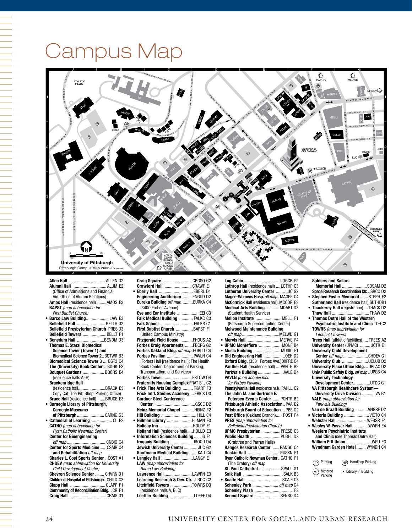## Campus Map



#### **Allen Hall** ...

|   | (Office of Admissions and Financial           |
|---|-----------------------------------------------|
|   | Aid, Office of Alumni Relations)              |
|   | Amos Hall (residence hall)AMOS E3             |
|   | <b>BAPST</b> (map abbreviation for            |
|   | <b>First Baptist Church)</b>                  |
| ٠ | Barco Law Building LAW E3                     |
|   | <b>Bellefield Hall  BELLH G2</b>              |
|   | Bellefield Presbyterian Church PRES D3        |
|   | Bellefield Towers BELLT F1                    |
|   | <b>Benedum Hall BENDM D3</b>                  |
|   | <b>Thomas E. Starzl Biomedical</b>            |
|   | Science Tower (Tower 1) and                   |
|   | <b>Biomedical Science Tower 2 BSTWR B3</b>    |
|   | <b>Biomedical Science Tower 3  BST3 C4</b>    |
|   | The (University) Book Center  BOOK E3         |
|   | Bouquet Gardens  BQGRS E4                     |
|   | (residence halls A-H)                         |
|   | <b>Brackenridge Hall</b>                      |
|   | (residence hall,BRACK E3                      |
|   | Copy Cat, The Pitt Shop, Parking Office)      |
|   | <b>Bruce Hall</b> (residence hall) BRUCE E3   |
|   | <b>Carnegie Library of Pittsburgh,</b>        |
|   | <b>Carnegie Museums</b>                       |
|   | of Pittsburgh  CARNG G3                       |
|   | Cathedral of Learning  CL F2                  |
|   | <b>CATHO</b> (map abbreviation for            |
|   | Ryan Catholic Newman Center)                  |
|   | <b>Center for Bioengineering</b>              |
|   |                                               |
|   | Center for Sports MedicineCSMR C4             |
|   | and Rehabilitation off map                    |
|   | <b>Charles L. Cost Sports Center  COST A1</b> |
|   | <b>CHDEV</b> (map abbreviation for University |
|   | <b>Child Development Center)</b>              |
|   | Chevron Science Center  CHVRN D1              |
|   | Children's Hospital of PittsburghCHILD C3     |
|   | Clapp Hall CLAPP F1                           |

**Community of Reconciliation Bldg.** .CR F1 **Craig Hall** .................................CRAIG G1 **• Eberly Hall** .............................. EBERL D1 **Engineering Auditorium** ........ ENGUD D2 **Eureka Building** *off map* .........EURKA C4 Eureka Building off map .........EURKA C4<br>(3400 Forbes Avenue) **Eye and Ear Institute** ....................EEI C3 **Falk Medical Building** ............ FALKC C3 **Falk School** ..............................FALKS C1 **First Baptist Church** ...............BAPST F1 (United Campus Ministry) **Fitzgerald Field House** ...........FHOUS A2 **Forbes Craig Apartments** .......FBCRG G2 **Forbes Oakland Bldg.** *off map* .FOBLD C4 **Forbes Pavilion** ....................... PAVLN C4 (Forbes Hall [residence hall]; The Health Book Center; Department of Parking, Transportation, and Services) **Forbes Tower** ......................... FRTOW D4 **Fraternity Housing Complex** FRAT B1, C2 **• Frick Fine Arts Building** ......... FKART F3 **Frick Int'l. Studies Academy** ... FRICK D3 **Gardner Steel Conference Center**.....................................GSCC D2 **Heinz Memorial Chapel** ...........HEINZ F2 **Hill Building** ............................... HILL C4 • Hillman Library .............. **Holiday Inn** .............................HOLDY E1 **Holland Hall** (residence hall).....HOLLD E3 **• Information Sciences Building** ...... IS F1 **Iroquois Building** .................... IROQU D4 **Jewish University Center**............ JUC G2 **Kaufmann Medical Building** .....KAU C4 • Langley **Hall** .................... **LAW** *(map abbreviation for Barco Law Building)* **Lawrence Hall**.........................LAWRN E3 **Learning Research & Dev. Ctr.** .LRDC C2 **Litchfield Towers ...........** (residence halls A, B, C) **Loeffler Building** ..................... LOEFF D4

**Crawford Hall** ........................CRAWF E1

|           | Lothrop Hall (residence hall)  LOTHP C3      |  |
|-----------|----------------------------------------------|--|
|           | Lutheran University Center  LUC G2           |  |
|           | Magee-Womens Hosp. off map MAGEE C4          |  |
|           | McCormick Hall (residence hall) .MCCOR E3    |  |
|           | Medical Arts Building  MDART D3              |  |
|           | (Student Health Service)                     |  |
|           | Mellon Institute  MELLI F1                   |  |
|           | (Pittsburgh Supercomputing Center)           |  |
|           | <b>Melwood Maintenance Building</b>          |  |
|           |                                              |  |
| ٠         | Mervis Hall  MERVS F4                        |  |
|           | · UPMC Montefiore  MONF B4                   |  |
|           | . Music Building  MUSIC F1                   |  |
| $\bullet$ | Old Engineering Hall OEH D2                  |  |
|           | Oxford Bldg. (3501 Forbes Ave.) OXFRD C4     |  |
|           | Panther Hall (residence hall)  PANTH B2      |  |
|           | Parkvale Building  VALE D4                   |  |
|           | <b>PAVLN</b> (map abbreviation               |  |
|           | for Forbes Pavilion)                         |  |
|           | Pennsylvania Hall (residence hall). PAHLL C2 |  |
|           | The John M. and Gertrude E.                  |  |
|           | Petersen Events CenterPCNTR B2               |  |
|           | Pittsburgh Athletic Association PAA E2       |  |
|           | Pittsburgh Board of Education  PBE G2        |  |
|           | Post Office (Oakland Branch)POST F4          |  |
|           | <b>PRES</b> (map abbreviation for            |  |
|           |                                              |  |
|           | <b>Bellefield Presbyterian Church)</b>       |  |
|           | UPMC Presbyterian PRESB C3                   |  |
|           | Public Health  PUBHL D3                      |  |
|           | (Crabtree and Parran Halls)                  |  |
|           | Rangos Research Center RANGO C4              |  |
|           | <b>Ruskin Hall  RUSKN F1</b>                 |  |
|           | Ryan Catholic Newman Center  CATHO F1        |  |
|           | (The Oratory) off map                        |  |
|           | St. Paul Cathedral  SPAUL G1                 |  |
|           |                                              |  |
| ٠         | Scaife Hall  SCAIF C3                        |  |
|           | Schenley Park  off map G4                    |  |
|           | Sennott Square SENSQ D4                      |  |

#### **Soldiers and Sailors**

| Memorial Hall SOSAM D2                                                     |  |
|----------------------------------------------------------------------------|--|
| Space Research Coordination Ctr.  SRCC D2                                  |  |
| · Stephen Foster Memorial  STEPH F2                                        |  |
| Sutherland Hall (residence hall). SUTHDB1                                  |  |
| . Thackeray Hall (registration)THACK D2                                    |  |
| Thaw Hall THAW D2                                                          |  |
| <b>Thomas Detre Hall of the Western</b>                                    |  |
| Psychiatric Institute and Clinic TDHC2                                     |  |
| <b>TOWRS</b> (map abbreviation for                                         |  |
| <b>Litchfield Towers)</b>                                                  |  |
| Trees Hall (athletic facilities) TREES A2                                  |  |
| University Center (UPMC) UCTR E1                                           |  |
| <b>University Child Development</b>                                        |  |
| <b>Center</b> off map CHDEV G1                                             |  |
| University Club UCLUB D2                                                   |  |
| University Place Office Bldg.  UPLAC D2                                    |  |
| Univ. Public Safety Bldg. off map  UPSB C4                                 |  |
| <b>University Technology</b>                                               |  |
| Development CenterUTDC G1                                                  |  |
| VA Pittsburgh Healthcare System-<br><b>University Drive Division VA B1</b> |  |
| <b>VALE</b> (map abbreviation for                                          |  |
| Parkvale Building)                                                         |  |
| Van de Graaff Building  VNGRF D2                                           |  |
| . Victoria Building  VICTO C4                                              |  |
| Webster Hall  WEBSR F1                                                     |  |
| Wesley W. Posvar Hall  WWPH E4                                             |  |
| Western Psychiatric Institute                                              |  |
| and Clinic (see Thomas Detre Hall)                                         |  |
| <b>William Pitt Union  WPU E3</b>                                          |  |
| Wyndham Garden Hotel  WYNDH C4                                             |  |
|                                                                            |  |
|                                                                            |  |
| <b>Handicap Parking</b><br>$(P)$ Parking<br>(HP)                           |  |
| Metered<br>• Library in Building<br>Parking                                |  |
|                                                                            |  |